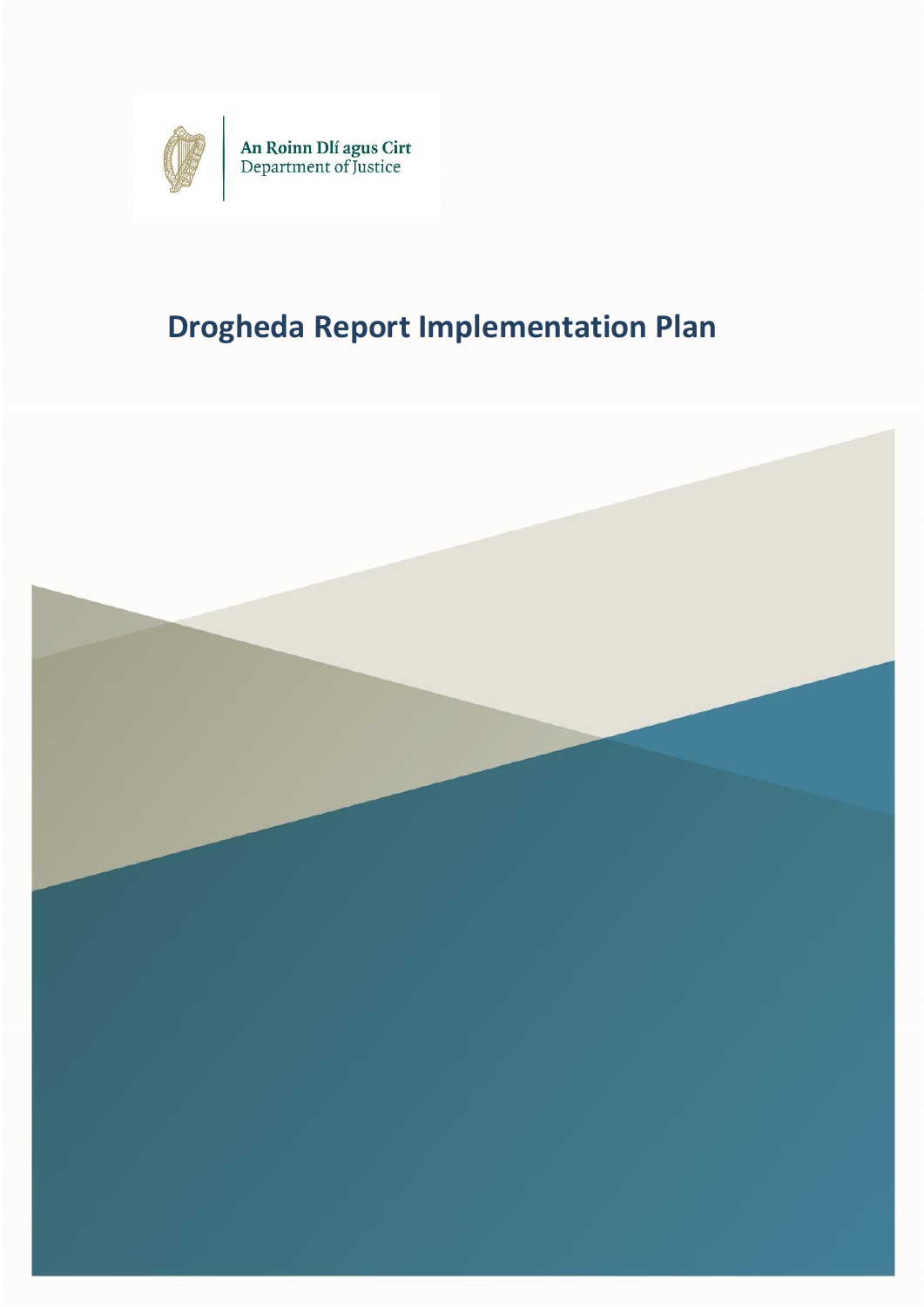

An Roinn Dlí agus Cirt<br>Department of Justice

# **Drogheda Report Implementation Plan**

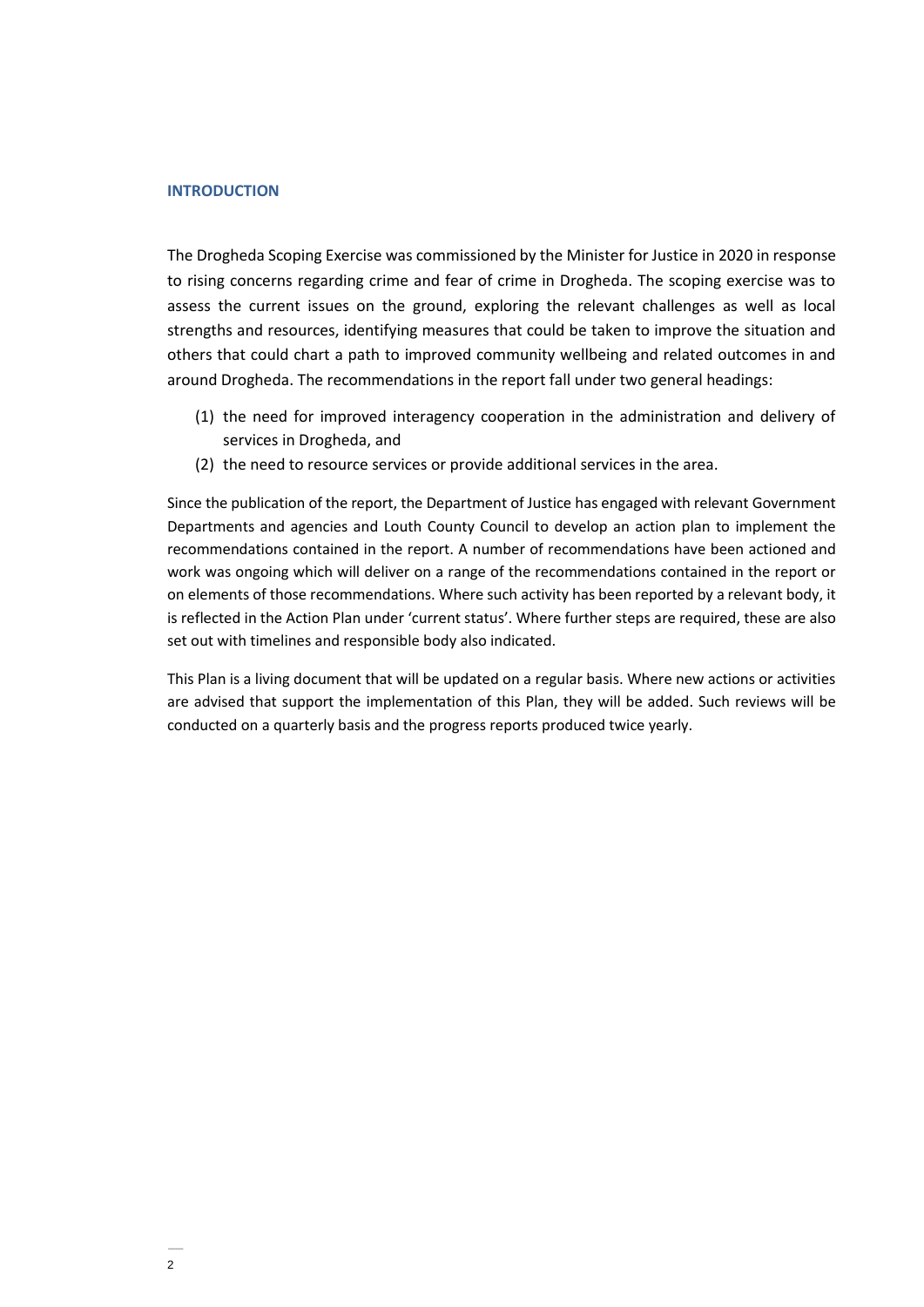#### **INTRODUCTION**

The Drogheda Scoping Exercise was commissioned by the Minister for Justice in 2020 in response to rising concerns regarding crime and fear of crime in Drogheda. The scoping exercise was to assess the current issues on the ground, exploring the relevant challenges as well as local strengths and resources, identifying measures that could be taken to improve the situation and others that could chart a path to improved community wellbeing and related outcomes in and around Drogheda. The recommendations in the report fall under two general headings:

- (1) the need for improved interagency cooperation in the administration and delivery of services in Drogheda, and
- (2) the need to resource services or provide additional services in the area.

Since the publication of the report, the Department of Justice has engaged with relevant Government Departments and agencies and Louth County Council to develop an action plan to implement the recommendations contained in the report. A number of recommendations have been actioned and work was ongoing which will deliver on a range of the recommendations contained in the report or on elements of those recommendations. Where such activity has been reported by a relevant body, it is reflected in the Action Plan under 'current status'. Where further steps are required, these are also set out with timelines and responsible body also indicated.

This Plan is a living document that will be updated on a regular basis. Where new actions or activities are advised that support the implementation of this Plan, they will be added. Such reviews will be conducted on a quarterly basis and the progress reports produced twice yearly.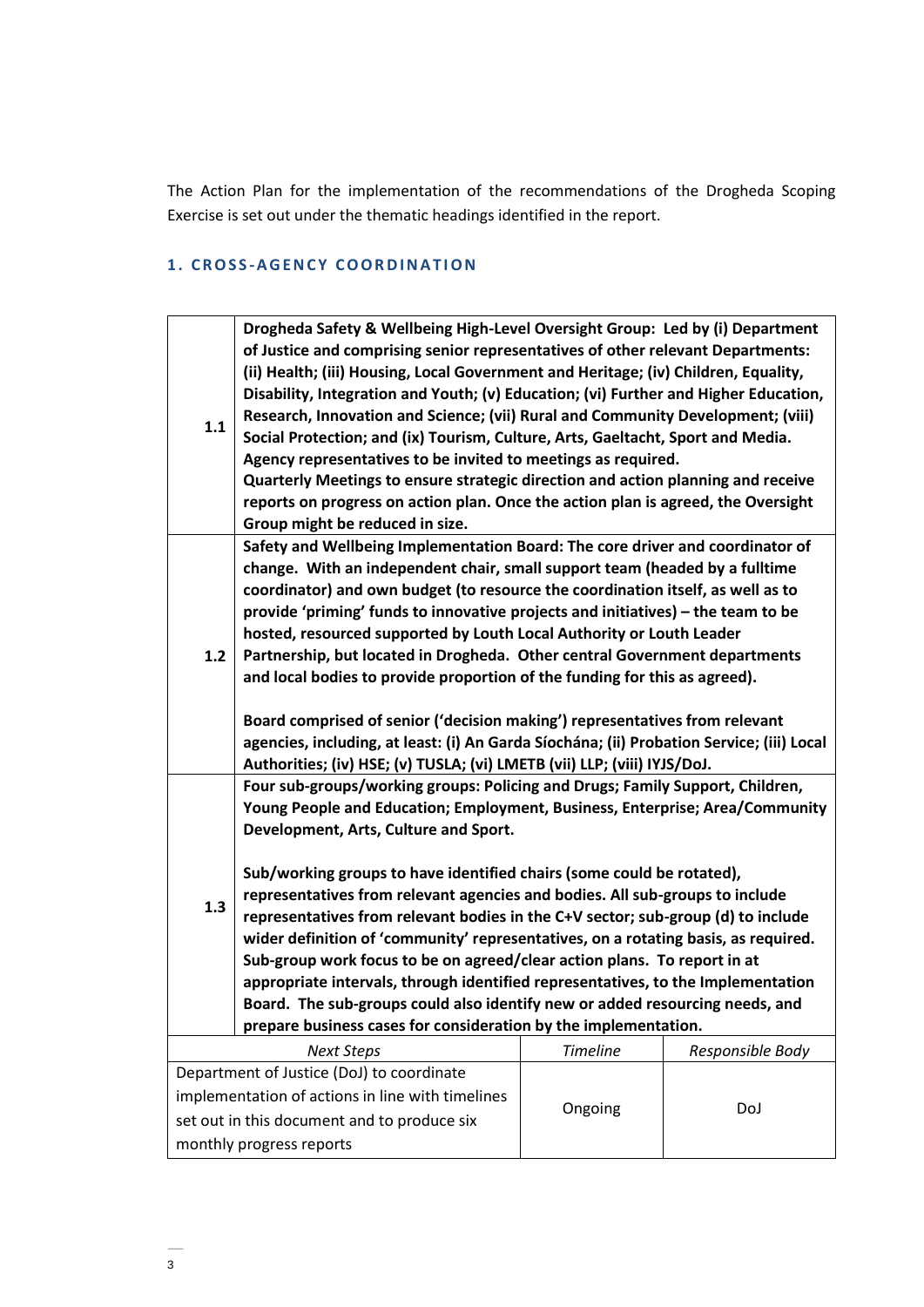The Action Plan for the implementation of the recommendations of the Drogheda Scoping Exercise is set out under the thematic headings identified in the report.

# **1 . C R O S S -A G E N C Y C O O RD I N A T I O N**

| 1.1                                              | Drogheda Safety & Wellbeing High-Level Oversight Group: Led by (i) Department<br>of Justice and comprising senior representatives of other relevant Departments:<br>(ii) Health; (iii) Housing, Local Government and Heritage; (iv) Children, Equality,<br>Disability, Integration and Youth; (v) Education; (vi) Further and Higher Education,<br>Research, Innovation and Science; (vii) Rural and Community Development; (viii)<br>Social Protection; and (ix) Tourism, Culture, Arts, Gaeltacht, Sport and Media.<br>Agency representatives to be invited to meetings as required.<br>Quarterly Meetings to ensure strategic direction and action planning and receive<br>reports on progress on action plan. Once the action plan is agreed, the Oversight<br>Group might be reduced in size.                                                           |                 |                  |  |
|--------------------------------------------------|--------------------------------------------------------------------------------------------------------------------------------------------------------------------------------------------------------------------------------------------------------------------------------------------------------------------------------------------------------------------------------------------------------------------------------------------------------------------------------------------------------------------------------------------------------------------------------------------------------------------------------------------------------------------------------------------------------------------------------------------------------------------------------------------------------------------------------------------------------------|-----------------|------------------|--|
| $1.2$                                            | Safety and Wellbeing Implementation Board: The core driver and coordinator of<br>change. With an independent chair, small support team (headed by a fulltime<br>coordinator) and own budget (to resource the coordination itself, as well as to<br>provide 'priming' funds to innovative projects and initiatives) - the team to be<br>hosted, resourced supported by Louth Local Authority or Louth Leader<br>Partnership, but located in Drogheda. Other central Government departments<br>and local bodies to provide proportion of the funding for this as agreed).<br>Board comprised of senior ('decision making') representatives from relevant<br>agencies, including, at least: (i) An Garda Síochána; (ii) Probation Service; (iii) Local<br>Authorities; (iv) HSE; (v) TUSLA; (vi) LMETB (vii) LLP; (viii) IYJS/DoJ.                              |                 |                  |  |
| 1.3                                              | Four sub-groups/working groups: Policing and Drugs; Family Support, Children,<br>Young People and Education; Employment, Business, Enterprise; Area/Community<br>Development, Arts, Culture and Sport.<br>Sub/working groups to have identified chairs (some could be rotated),<br>representatives from relevant agencies and bodies. All sub-groups to include<br>representatives from relevant bodies in the C+V sector; sub-group (d) to include<br>wider definition of 'community' representatives, on a rotating basis, as required.<br>Sub-group work focus to be on agreed/clear action plans. To report in at<br>appropriate intervals, through identified representatives, to the Implementation<br>Board. The sub-groups could also identify new or added resourcing needs, and<br>prepare business cases for consideration by the implementation. |                 |                  |  |
|                                                  | <b>Next Steps</b>                                                                                                                                                                                                                                                                                                                                                                                                                                                                                                                                                                                                                                                                                                                                                                                                                                            | <b>Timeline</b> | Responsible Body |  |
|                                                  | Department of Justice (DoJ) to coordinate                                                                                                                                                                                                                                                                                                                                                                                                                                                                                                                                                                                                                                                                                                                                                                                                                    |                 |                  |  |
| implementation of actions in line with timelines |                                                                                                                                                                                                                                                                                                                                                                                                                                                                                                                                                                                                                                                                                                                                                                                                                                                              |                 |                  |  |
| set out in this document and to produce six      |                                                                                                                                                                                                                                                                                                                                                                                                                                                                                                                                                                                                                                                                                                                                                                                                                                                              | Ongoing         | DoJ              |  |
|                                                  | monthly progress reports                                                                                                                                                                                                                                                                                                                                                                                                                                                                                                                                                                                                                                                                                                                                                                                                                                     |                 |                  |  |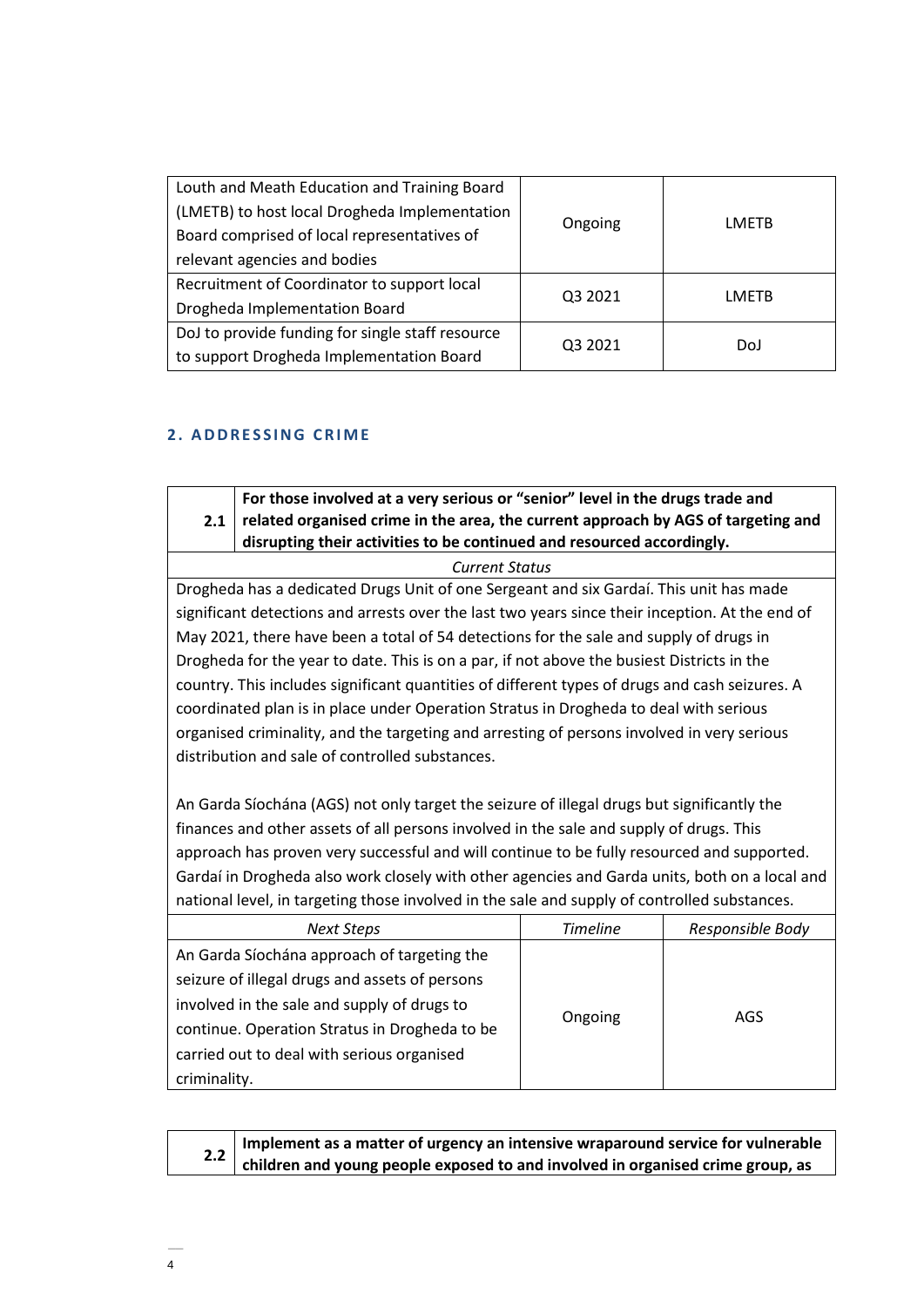| Louth and Meath Education and Training Board<br>(LMETB) to host local Drogheda Implementation<br>Board comprised of local representatives of<br>relevant agencies and bodies | Ongoing | LMETB |
|------------------------------------------------------------------------------------------------------------------------------------------------------------------------------|---------|-------|
| Recruitment of Coordinator to support local<br><b>Drogheda Implementation Board</b>                                                                                          | Q3 2021 | LMFTB |
| DoJ to provide funding for single staff resource<br>to support Drogheda Implementation Board                                                                                 | Q3 2021 | DoJ   |

# **2. ADDRESSING CRIME**

**2.1 For those involved at a very serious or "senior" level in the drugs trade and related organised crime in the area, the current approach by AGS of targeting and disrupting their activities to be continued and resourced accordingly.**

*Current Status*

Drogheda has a dedicated Drugs Unit of one Sergeant and six Gardaí. This unit has made significant detections and arrests over the last two years since their inception. At the end of May 2021, there have been a total of 54 detections for the sale and supply of drugs in Drogheda for the year to date. This is on a par, if not above the busiest Districts in the country. This includes significant quantities of different types of drugs and cash seizures. A coordinated plan is in place under Operation Stratus in Drogheda to deal with serious organised criminality, and the targeting and arresting of persons involved in very serious distribution and sale of controlled substances.

An Garda Síochána (AGS) not only target the seizure of illegal drugs but significantly the finances and other assets of all persons involved in the sale and supply of drugs. This approach has proven very successful and will continue to be fully resourced and supported. Gardaí in Drogheda also work closely with other agencies and Garda units, both on a local and national level, in targeting those involved in the sale and supply of controlled substances.

| <b>Next Steps</b>                              | <b>Timeline</b> | Responsible Body |
|------------------------------------------------|-----------------|------------------|
| An Garda Síochána approach of targeting the    |                 |                  |
| seizure of illegal drugs and assets of persons |                 |                  |
| involved in the sale and supply of drugs to    |                 |                  |
| continue. Operation Stratus in Drogheda to be  | Ongoing         | AGS.             |
| carried out to deal with serious organised     |                 |                  |
| criminality.                                   |                 |                  |

| Inplement as a matter of urgency an intensive wraparound service for vulnerable    |  |  |
|------------------------------------------------------------------------------------|--|--|
| 2.2 children and young people exposed to and involved in organised crime group, as |  |  |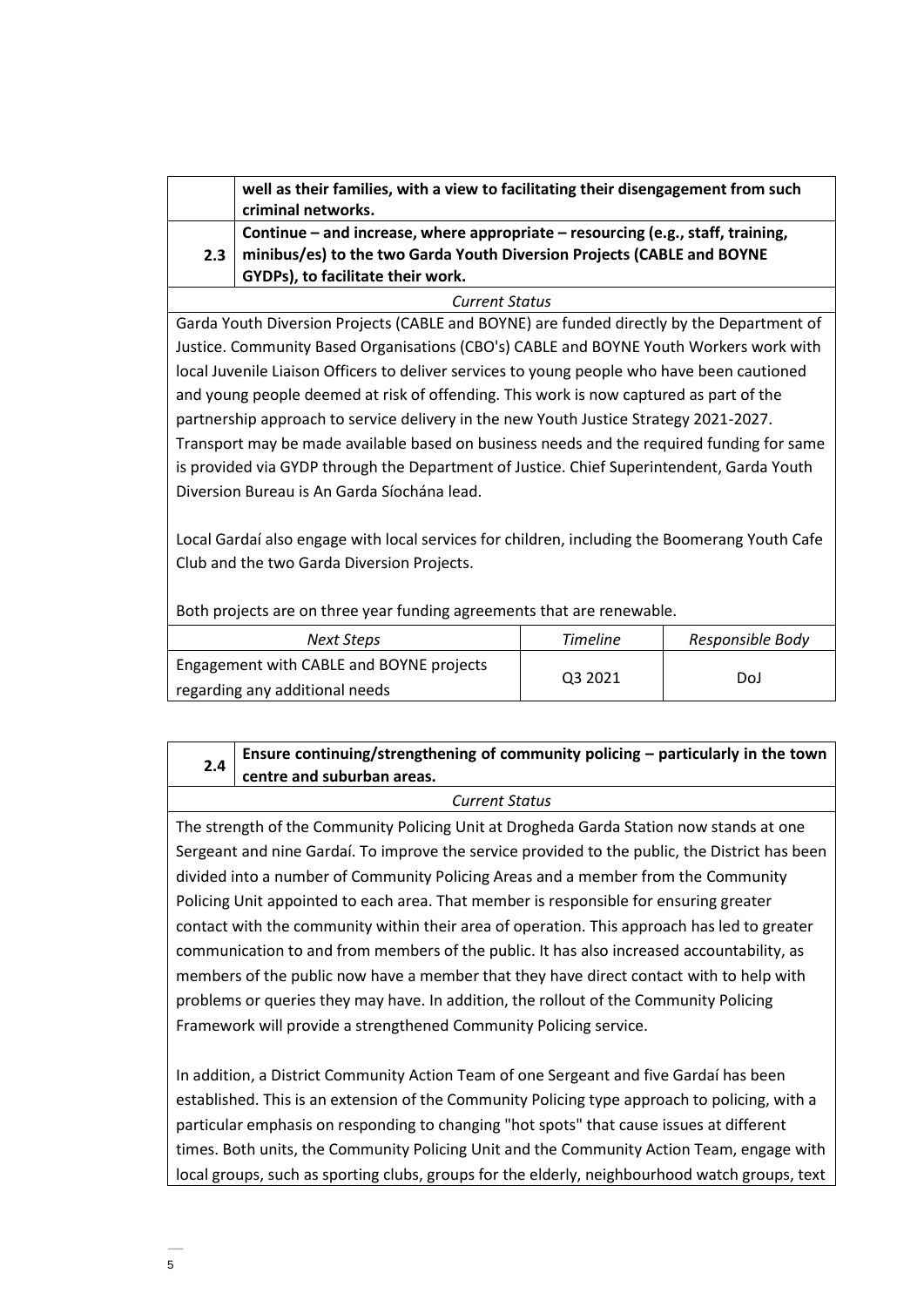|                       | well as their families, with a view to facilitating their disengagement from such<br>criminal networks.                                                                                        |  |
|-----------------------|------------------------------------------------------------------------------------------------------------------------------------------------------------------------------------------------|--|
| 2.3                   | Continue - and increase, where appropriate - resourcing (e.g., staff, training,<br>minibus/es) to the two Garda Youth Diversion Projects (CABLE and BOYNE<br>GYDPs), to facilitate their work. |  |
| <b>Current Status</b> |                                                                                                                                                                                                |  |

Garda Youth Diversion Projects (CABLE and BOYNE) are funded directly by the Department of Justice. Community Based Organisations (CBO's) CABLE and BOYNE Youth Workers work with local Juvenile Liaison Officers to deliver services to young people who have been cautioned and young people deemed at risk of offending. This work is now captured as part of the partnership approach to service delivery in the new Youth Justice Strategy 2021-2027. Transport may be made available based on business needs and the required funding for same is provided via GYDP through the Department of Justice. Chief Superintendent, Garda Youth Diversion Bureau is An Garda Síochána lead.

Local Gardaí also engage with local services for children, including the Boomerang Youth Cafe Club and the two Garda Diversion Projects.

Both projects are on three year funding agreements that are renewable.

| Next Steps                               | <b>Timeline</b> | Responsible Body |
|------------------------------------------|-----------------|------------------|
| Engagement with CABLE and BOYNE projects |                 |                  |
| regarding any additional needs           | Q3 2021         | DoJ              |

#### **2.4 Ensure continuing/strengthening of community policing – particularly in the town centre and suburban areas.**

## *Current Status*

The strength of the Community Policing Unit at Drogheda Garda Station now stands at one Sergeant and nine Gardaí. To improve the service provided to the public, the District has been divided into a number of Community Policing Areas and a member from the Community Policing Unit appointed to each area. That member is responsible for ensuring greater contact with the community within their area of operation. This approach has led to greater communication to and from members of the public. It has also increased accountability, as members of the public now have a member that they have direct contact with to help with problems or queries they may have. In addition, the rollout of the Community Policing Framework will provide a strengthened Community Policing service.

In addition, a District Community Action Team of one Sergeant and five Gardaí has been established. This is an extension of the Community Policing type approach to policing, with a particular emphasis on responding to changing "hot spots" that cause issues at different times. Both units, the Community Policing Unit and the Community Action Team, engage with local groups, such as sporting clubs, groups for the elderly, neighbourhood watch groups, text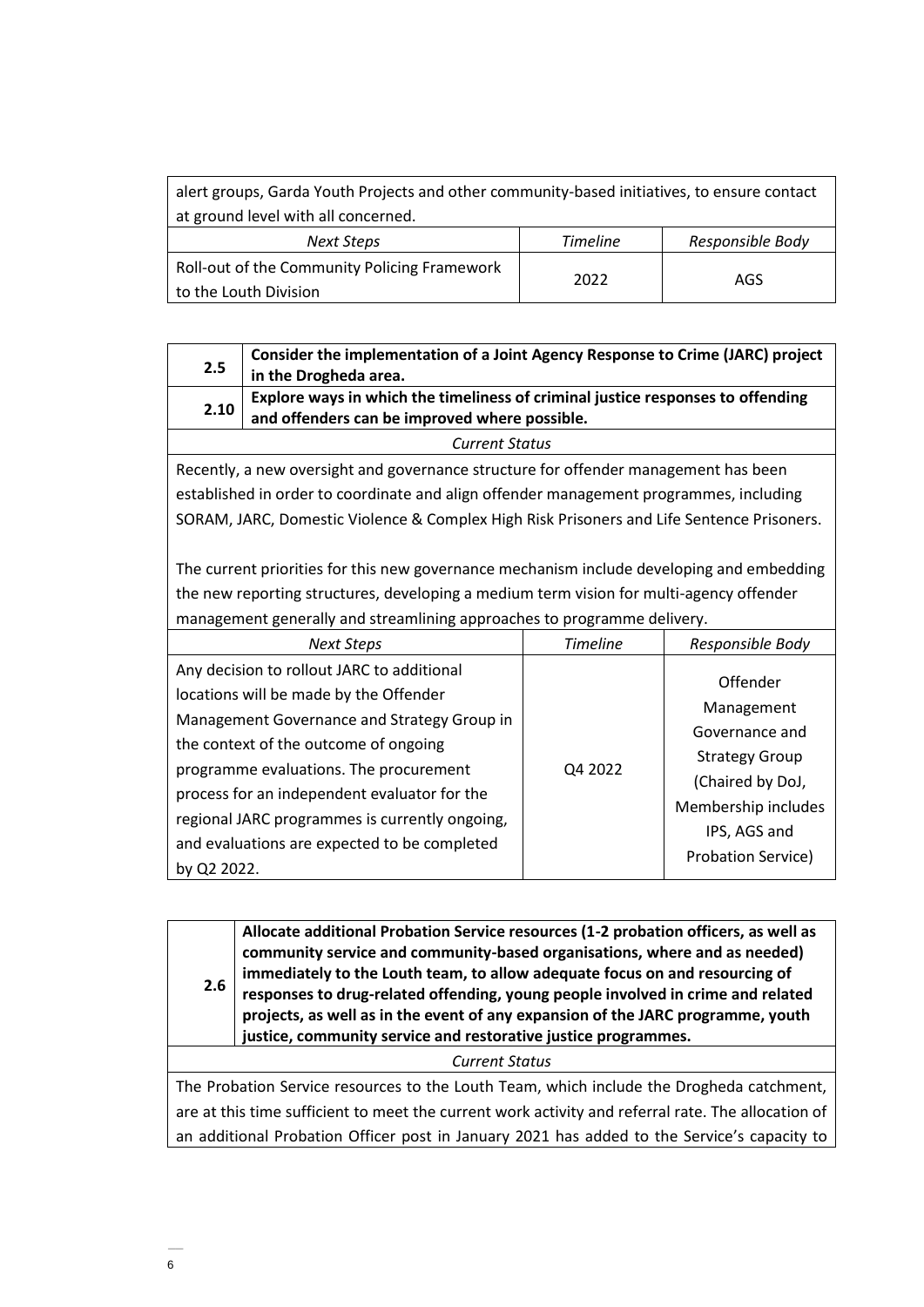| alert groups, Garda Youth Projects and other community-based initiatives, to ensure contact |                 |                  |  |
|---------------------------------------------------------------------------------------------|-----------------|------------------|--|
| at ground level with all concerned.                                                         |                 |                  |  |
| Next Steps                                                                                  | <b>Timeline</b> | Responsible Body |  |
| Roll-out of the Community Policing Framework<br>2022<br>AGS<br>to the Louth Division        |                 |                  |  |

| 2.5                   | Consider the implementation of a Joint Agency Response to Crime (JARC) project<br>in the Drogheda area.                          |  |
|-----------------------|----------------------------------------------------------------------------------------------------------------------------------|--|
| 2.10                  | Explore ways in which the timeliness of criminal justice responses to offending<br>and offenders can be improved where possible. |  |
| <b>Current Status</b> |                                                                                                                                  |  |

Recently, a new oversight and governance structure for offender management has been established in order to coordinate and align offender management programmes, including SORAM, JARC, Domestic Violence & Complex High Risk Prisoners and Life Sentence Prisoners.

The current priorities for this new governance mechanism include developing and embedding the new reporting structures, developing a medium term vision for multi-agency offender management generally and streamlining approaches to programme delivery.

| <b>Next Steps</b>                                                                                                                                                                                                                                                                                                                                                                       | <b>Timeline</b> | Responsible Body                                                                                                                                          |
|-----------------------------------------------------------------------------------------------------------------------------------------------------------------------------------------------------------------------------------------------------------------------------------------------------------------------------------------------------------------------------------------|-----------------|-----------------------------------------------------------------------------------------------------------------------------------------------------------|
| Any decision to rollout JARC to additional<br>locations will be made by the Offender<br>Management Governance and Strategy Group in<br>the context of the outcome of ongoing<br>programme evaluations. The procurement<br>process for an independent evaluator for the<br>regional JARC programmes is currently ongoing,<br>and evaluations are expected to be completed<br>by Q2 2022. | Q4 2022         | Offender<br>Management<br>Governance and<br><b>Strategy Group</b><br>(Chaired by DoJ,<br>Membership includes<br>IPS, AGS and<br><b>Probation Service)</b> |

| 2.6                                                                                                | Allocate additional Probation Service resources (1-2 probation officers, as well as<br>community service and community-based organisations, where and as needed)<br>immediately to the Louth team, to allow adequate focus on and resourcing of<br>responses to drug-related offending, young people involved in crime and related<br>projects, as well as in the event of any expansion of the JARC programme, youth<br>justice, community service and restorative justice programmes. |  |  |
|----------------------------------------------------------------------------------------------------|-----------------------------------------------------------------------------------------------------------------------------------------------------------------------------------------------------------------------------------------------------------------------------------------------------------------------------------------------------------------------------------------------------------------------------------------------------------------------------------------|--|--|
|                                                                                                    | <b>Current Status</b>                                                                                                                                                                                                                                                                                                                                                                                                                                                                   |  |  |
| The Probation Service resources to the Louth Team, which include the Drogheda catchment,           |                                                                                                                                                                                                                                                                                                                                                                                                                                                                                         |  |  |
| are at this time sufficient to meet the current work activity and referral rate. The allocation of |                                                                                                                                                                                                                                                                                                                                                                                                                                                                                         |  |  |
| an additional Probation Officer post in January 2021 has added to the Service's capacity to        |                                                                                                                                                                                                                                                                                                                                                                                                                                                                                         |  |  |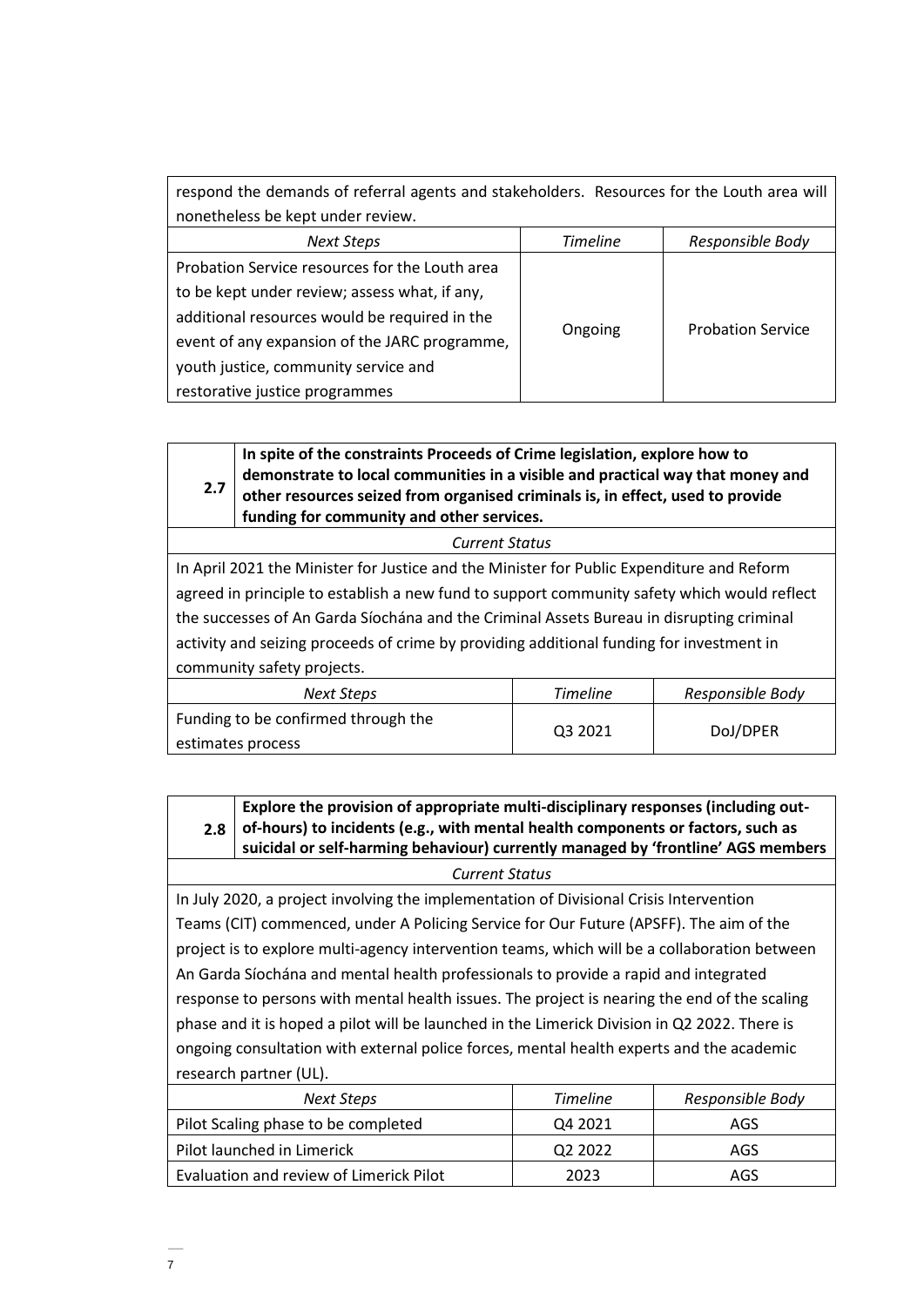| respond the demands of referral agents and stakeholders. Resources for the Louth area will |                 |                          |
|--------------------------------------------------------------------------------------------|-----------------|--------------------------|
| nonetheless be kept under review.                                                          |                 |                          |
| <b>Next Steps</b>                                                                          | <b>Timeline</b> | Responsible Body         |
| Probation Service resources for the Louth area                                             |                 |                          |
| to be kept under review; assess what, if any,                                              |                 |                          |
| additional resources would be required in the                                              |                 |                          |
| event of any expansion of the JARC programme,                                              | Ongoing         | <b>Probation Service</b> |
| youth justice, community service and                                                       |                 |                          |
| restorative justice programmes                                                             |                 |                          |

**2.7 In spite of the constraints Proceeds of Crime legislation, explore how to demonstrate to local communities in a visible and practical way that money and other resources seized from organised criminals is, in effect, used to provide funding for community and other services.**

*Current Status*

In April 2021 the Minister for Justice and the Minister for Public Expenditure and Reform agreed in principle to establish a new fund to support community safety which would reflect the successes of An Garda Síochána and the Criminal Assets Bureau in disrupting criminal activity and seizing proceeds of crime by providing additional funding for investment in community safety projects.

| Next Steps                          | <b>Timeline</b> | Responsible Body |
|-------------------------------------|-----------------|------------------|
| Funding to be confirmed through the | Q3 2021         | DoJ/DPER         |
| estimates process                   |                 |                  |

| Explore the provision of appropriate multi-disciplinary responses (including out-           |
|---------------------------------------------------------------------------------------------|
| 2.8 $\vert$ of-hours) to incidents (e.g., with mental health components or factors, such as |
| suicidal or self-harming behaviour) currently managed by 'frontline' AGS members            |
|                                                                                             |

*Current Status*

In July 2020, a project involving the implementation of Divisional Crisis Intervention Teams (CIT) commenced, under A Policing Service for Our Future (APSFF). The aim of the project is to explore multi-agency intervention teams, which will be a collaboration between An Garda Síochána and mental health professionals to provide a rapid and integrated response to persons with mental health issues. The project is nearing the end of the scaling phase and it is hoped a pilot will be launched in the Limerick Division in Q2 2022. There is ongoing consultation with external police forces, mental health experts and the academic research partner (UL).

| Next Steps                              | <b>Timeline</b>     | Responsible Body |
|-----------------------------------------|---------------------|------------------|
| Pilot Scaling phase to be completed     | Q4 2021             | AGS              |
| Pilot launched in Limerick              | Q <sub>2</sub> 2022 | AGS              |
| Evaluation and review of Limerick Pilot | 2023                | AGS              |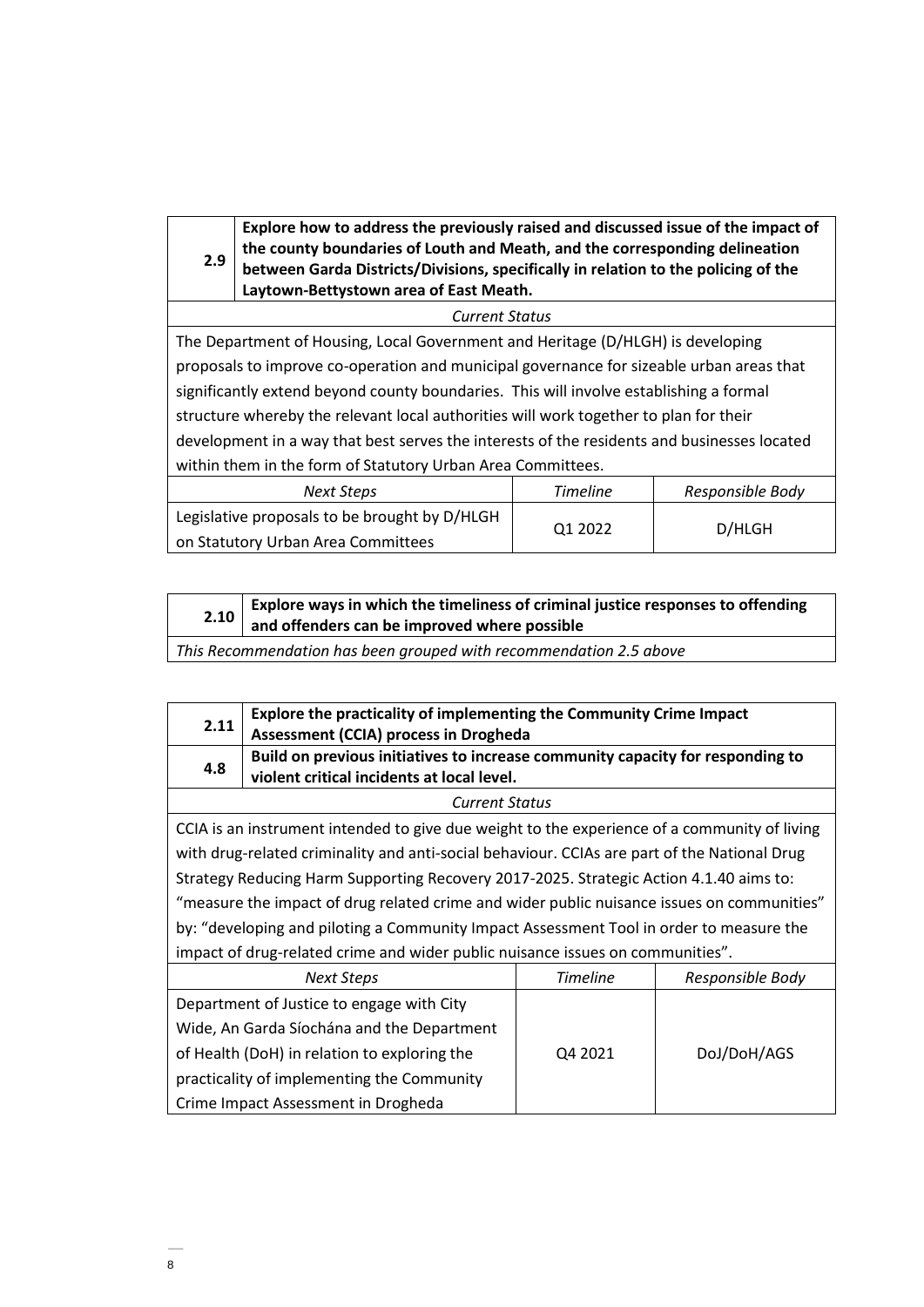**2.9 Explore how to address the previously raised and discussed issue of the impact of the county boundaries of Louth and Meath, and the corresponding delineation between Garda Districts/Divisions, specifically in relation to the policing of the Laytown-Bettystown area of East Meath.** 

*Current Status*

The Department of Housing, Local Government and Heritage (D/HLGH) is developing proposals to improve co-operation and municipal governance for sizeable urban areas that significantly extend beyond county boundaries. This will involve establishing a formal structure whereby the relevant local authorities will work together to plan for their development in a way that best serves the interests of the residents and businesses located within them in the form of Statutory Urban Area Committees.

| Next Steps                                    | <b>Timeline</b> | Responsible Body |
|-----------------------------------------------|-----------------|------------------|
| Legislative proposals to be brought by D/HLGH |                 | D/HLGH           |
| on Statutory Urban Area Committees            | Q1 2022         |                  |

| 2.10  | Explore ways in which the timeliness of criminal justice responses to offending<br>and offenders can be improved where possible |
|-------|---------------------------------------------------------------------------------------------------------------------------------|
| - - - |                                                                                                                                 |

*This Recommendation has been grouped with recommendation 2.5 above*

| 2.11                                                                                         | Explore the practicality of implementing the Community Crime Impact<br><b>Assessment (CCIA) process in Drogheda</b>          |                 |                  |  |
|----------------------------------------------------------------------------------------------|------------------------------------------------------------------------------------------------------------------------------|-----------------|------------------|--|
| 4.8                                                                                          | Build on previous initiatives to increase community capacity for responding to<br>violent critical incidents at local level. |                 |                  |  |
|                                                                                              | <b>Current Status</b>                                                                                                        |                 |                  |  |
|                                                                                              | CCIA is an instrument intended to give due weight to the experience of a community of living                                 |                 |                  |  |
| with drug-related criminality and anti-social behaviour. CCIAs are part of the National Drug |                                                                                                                              |                 |                  |  |
|                                                                                              | Strategy Reducing Harm Supporting Recovery 2017-2025. Strategic Action 4.1.40 aims to:                                       |                 |                  |  |
| "measure the impact of drug related crime and wider public nuisance issues on communities"   |                                                                                                                              |                 |                  |  |
| by: "developing and piloting a Community Impact Assessment Tool in order to measure the      |                                                                                                                              |                 |                  |  |
|                                                                                              | impact of drug-related crime and wider public nuisance issues on communities".                                               |                 |                  |  |
|                                                                                              | <b>Next Steps</b>                                                                                                            | <b>Timeline</b> | Responsible Body |  |
|                                                                                              | Department of Justice to engage with City                                                                                    |                 |                  |  |
| Wide, An Garda Síochána and the Department                                                   |                                                                                                                              |                 |                  |  |
|                                                                                              | of Health (DoH) in relation to exploring the                                                                                 | Q4 2021         | DoJ/DoH/AGS      |  |
|                                                                                              | practicality of implementing the Community                                                                                   |                 |                  |  |
|                                                                                              | Crime Impact Assessment in Drogheda                                                                                          |                 |                  |  |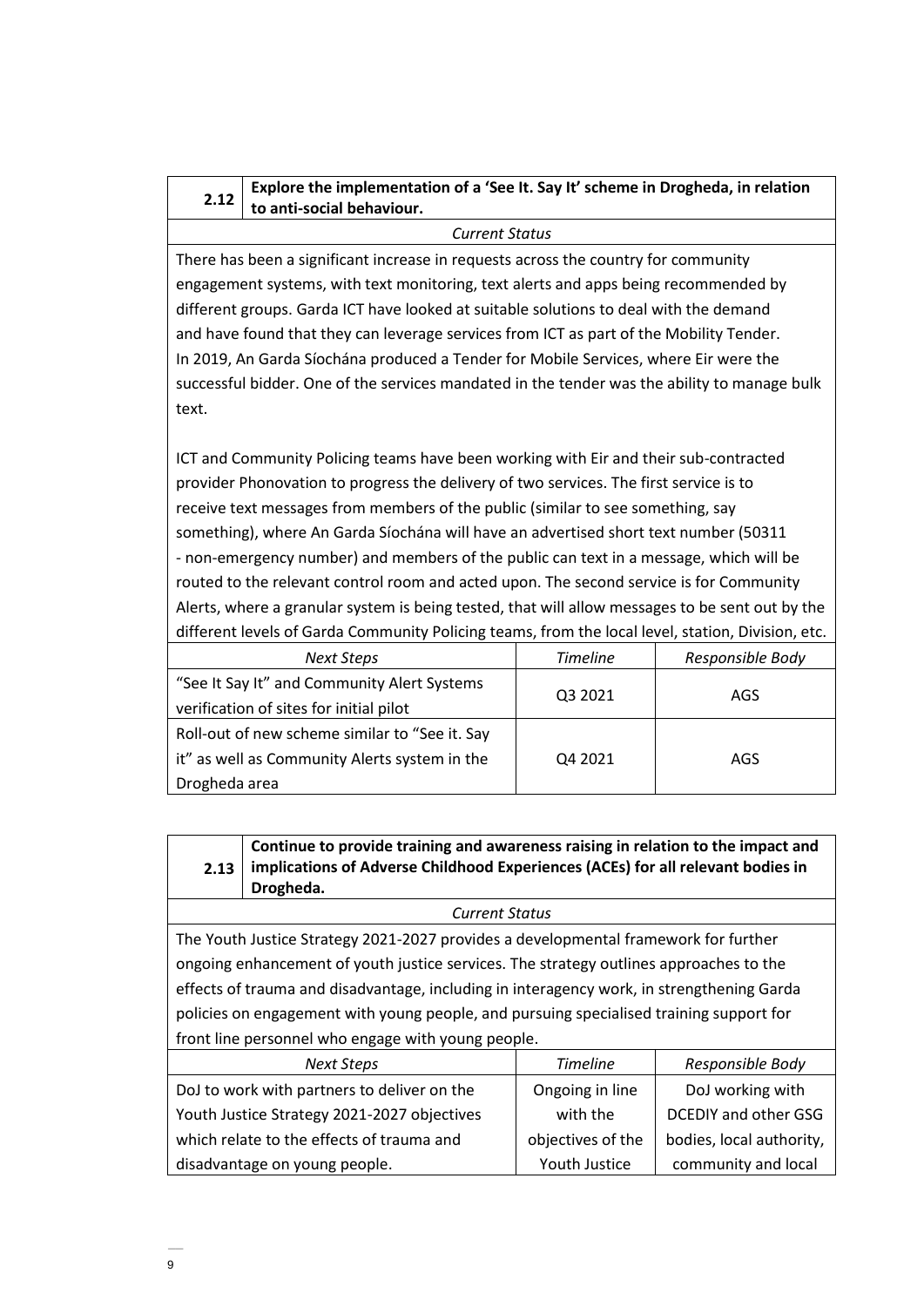#### **2.12 Explore the implementation of a 'See It. Say It' scheme in Drogheda, in relation to anti-social behaviour.**

*Current Status*

There has been a significant increase in requests across the country for community engagement systems, with text monitoring, text alerts and apps being recommended by different groups. Garda ICT have looked at suitable solutions to deal with the demand and have found that they can leverage services from ICT as part of the Mobility Tender. In 2019, An Garda Síochána produced a Tender for Mobile Services, where Eir were the successful bidder. One of the services mandated in the tender was the ability to manage bulk text.

ICT and Community Policing teams have been working with Eir and their sub-contracted provider Phonovation to progress the delivery of two services. The first service is to receive text messages from members of the public (similar to see something, say something), where An Garda Síochána will have an advertised short text number (50311 - non-emergency number) and members of the public can text in a message, which will be routed to the relevant control room and acted upon. The second service is for Community Alerts, where a granular system is being tested, that will allow messages to be sent out by the different levels of Garda Community Policing teams, from the local level, station, Division, etc.

| Next Steps                                     | <b>Timeline</b> | Responsible Body |
|------------------------------------------------|-----------------|------------------|
| "See It Say It" and Community Alert Systems    |                 |                  |
| verification of sites for initial pilot        | Q3 2021         | AGS              |
| Roll-out of new scheme similar to "See it. Say |                 |                  |
| it" as well as Community Alerts system in the  | Q4 2021         | AGS              |
| Drogheda area                                  |                 |                  |

**2.13 Continue to provide training and awareness raising in relation to the impact and implications of Adverse Childhood Experiences (ACEs) for all relevant bodies in Drogheda.** 

#### *Current Status*

The Youth Justice Strategy 2021-2027 provides a developmental framework for further ongoing enhancement of youth justice services. The strategy outlines approaches to the effects of trauma and disadvantage, including in interagency work, in strengthening Garda policies on engagement with young people, and pursuing specialised training support for front line personnel who engage with young people.

| <b>Next Steps</b>                           | <b>Timeline</b>   | Responsible Body            |
|---------------------------------------------|-------------------|-----------------------------|
| DoJ to work with partners to deliver on the | Ongoing in line   | DoJ working with            |
| Youth Justice Strategy 2021-2027 objectives | with the          | <b>DCEDIY and other GSG</b> |
| which relate to the effects of trauma and   | objectives of the | bodies, local authority,    |
| disadvantage on young people.               | Youth Justice     | community and local         |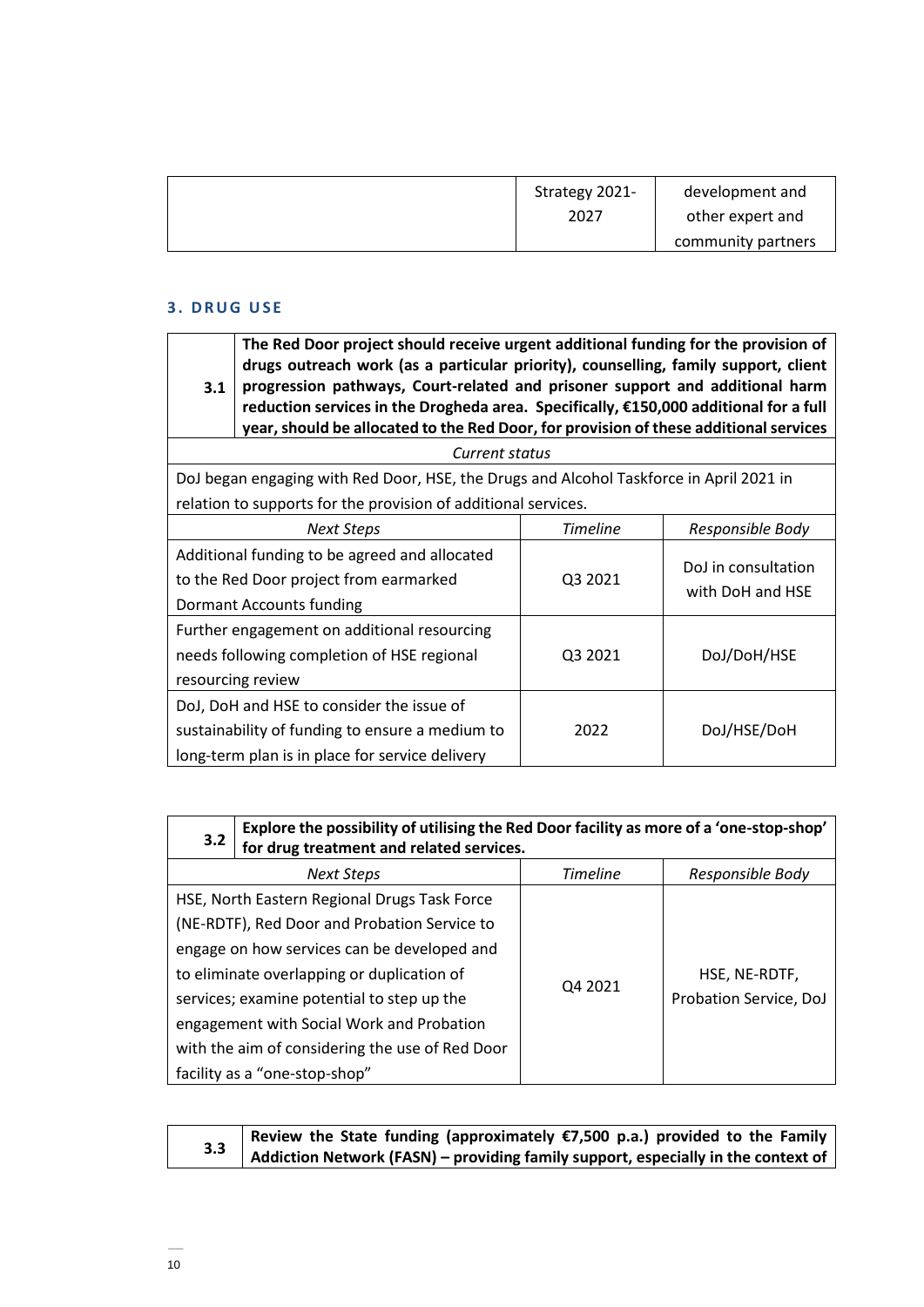| Strategy 2021- | development and    |
|----------------|--------------------|
| 2027           | other expert and   |
|                | community partners |

# **3 . D R U G U S E**

| 3.1                                                      | The Red Door project should receive urgent additional funding for the provision of<br>drugs outreach work (as a particular priority), counselling, family support, client<br>progression pathways, Court-related and prisoner support and additional harm<br>reduction services in the Drogheda area. Specifically, €150,000 additional for a full<br>year, should be allocated to the Red Door, for provision of these additional services |         |                                         |  |  |
|----------------------------------------------------------|---------------------------------------------------------------------------------------------------------------------------------------------------------------------------------------------------------------------------------------------------------------------------------------------------------------------------------------------------------------------------------------------------------------------------------------------|---------|-----------------------------------------|--|--|
|                                                          | Current status                                                                                                                                                                                                                                                                                                                                                                                                                              |         |                                         |  |  |
|                                                          | DoJ began engaging with Red Door, HSE, the Drugs and Alcohol Taskforce in April 2021 in                                                                                                                                                                                                                                                                                                                                                     |         |                                         |  |  |
|                                                          | relation to supports for the provision of additional services.                                                                                                                                                                                                                                                                                                                                                                              |         |                                         |  |  |
| <b>Timeline</b><br>Responsible Body<br><b>Next Steps</b> |                                                                                                                                                                                                                                                                                                                                                                                                                                             |         |                                         |  |  |
|                                                          | Additional funding to be agreed and allocated                                                                                                                                                                                                                                                                                                                                                                                               |         |                                         |  |  |
| to the Red Door project from earmarked                   |                                                                                                                                                                                                                                                                                                                                                                                                                                             | Q3 2021 | DoJ in consultation<br>with DoH and HSE |  |  |
| Dormant Accounts funding                                 |                                                                                                                                                                                                                                                                                                                                                                                                                                             |         |                                         |  |  |
|                                                          | Further engagement on additional resourcing                                                                                                                                                                                                                                                                                                                                                                                                 |         |                                         |  |  |
|                                                          | needs following completion of HSE regional                                                                                                                                                                                                                                                                                                                                                                                                  | Q3 2021 | DoJ/DoH/HSE                             |  |  |
|                                                          | resourcing review                                                                                                                                                                                                                                                                                                                                                                                                                           |         |                                         |  |  |
|                                                          | DoJ, DoH and HSE to consider the issue of                                                                                                                                                                                                                                                                                                                                                                                                   |         |                                         |  |  |
| sustainability of funding to ensure a medium to<br>2022  |                                                                                                                                                                                                                                                                                                                                                                                                                                             |         | DoJ/HSE/DoH                             |  |  |
|                                                          | long-term plan is in place for service delivery                                                                                                                                                                                                                                                                                                                                                                                             |         |                                         |  |  |

| 3.2 | Explore the possibility of utilising the Red Door facility as more of a 'one-stop-shop'<br>for drug treatment and related services.                                                                                                                                                  |                 |                                         |
|-----|--------------------------------------------------------------------------------------------------------------------------------------------------------------------------------------------------------------------------------------------------------------------------------------|-----------------|-----------------------------------------|
|     | <b>Next Steps</b>                                                                                                                                                                                                                                                                    | <b>Timeline</b> | Responsible Body                        |
|     | HSE, North Eastern Regional Drugs Task Force<br>(NE-RDTF), Red Door and Probation Service to<br>engage on how services can be developed and<br>to eliminate overlapping or duplication of<br>services; examine potential to step up the<br>engagement with Social Work and Probation | Q4 2021         | HSE, NE-RDTF,<br>Probation Service, DoJ |
|     | with the aim of considering the use of Red Door<br>facility as a "one-stop-shop"                                                                                                                                                                                                     |                 |                                         |

| Review the State funding (approximately $\varepsilon$ 7,500 p.a.) provided to the Family |
|------------------------------------------------------------------------------------------|
| 3.3 Addiction Network (FASN) – providing family support, especially in the context of    |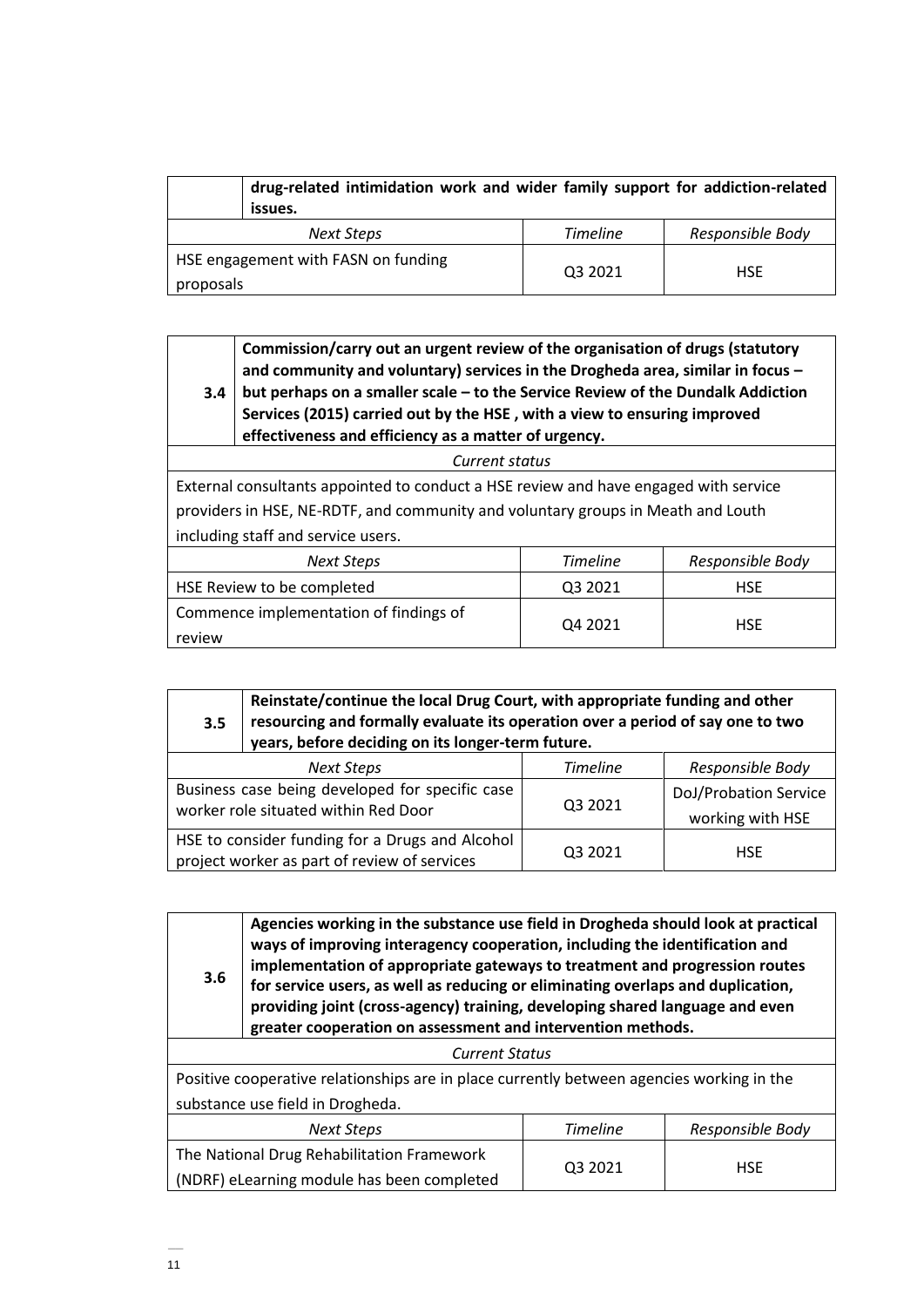| drug-related intimidation work and wider family support for addiction-related<br>issues. |                 |                  |
|------------------------------------------------------------------------------------------|-----------------|------------------|
| Next Steps                                                                               | <b>Timeline</b> | Responsible Body |
| HSE engagement with FASN on funding<br>proposals                                         | Q3 2021         | <b>HSE</b>       |

| 3.4                                                                                  | Commission/carry out an urgent review of the organisation of drugs (statutory<br>and community and voluntary) services in the Drogheda area, similar in focus -<br>but perhaps on a smaller scale – to the Service Review of the Dundalk Addiction<br>Services (2015) carried out by the HSE, with a view to ensuring improved<br>effectiveness and efficiency as a matter of urgency. |  |  |  |
|--------------------------------------------------------------------------------------|----------------------------------------------------------------------------------------------------------------------------------------------------------------------------------------------------------------------------------------------------------------------------------------------------------------------------------------------------------------------------------------|--|--|--|
|                                                                                      | Current status                                                                                                                                                                                                                                                                                                                                                                         |  |  |  |
| External consultants appointed to conduct a HSE review and have engaged with service |                                                                                                                                                                                                                                                                                                                                                                                        |  |  |  |
| providers in HSE, NE-RDTF, and community and voluntary groups in Meath and Louth     |                                                                                                                                                                                                                                                                                                                                                                                        |  |  |  |
| including staff and service users.                                                   |                                                                                                                                                                                                                                                                                                                                                                                        |  |  |  |
| <b>Timeline</b><br>Responsible Body<br><b>Next Steps</b>                             |                                                                                                                                                                                                                                                                                                                                                                                        |  |  |  |
| HSE Review to be completed<br>Q3 2021<br><b>HSE</b>                                  |                                                                                                                                                                                                                                                                                                                                                                                        |  |  |  |
| Commence implementation of findings of<br>Q4 2021<br><b>HSE</b><br>review            |                                                                                                                                                                                                                                                                                                                                                                                        |  |  |  |

| 3.5                                                                                     | Reinstate/continue the local Drug Court, with appropriate funding and other<br>resourcing and formally evaluate its operation over a period of say one to two<br>years, before deciding on its longer-term future. |         |                                           |  |
|-----------------------------------------------------------------------------------------|--------------------------------------------------------------------------------------------------------------------------------------------------------------------------------------------------------------------|---------|-------------------------------------------|--|
| <b>Timeline</b><br>Responsible Body<br><b>Next Steps</b>                                |                                                                                                                                                                                                                    |         |                                           |  |
| Business case being developed for specific case<br>worker role situated within Red Door |                                                                                                                                                                                                                    | Q3 2021 | DoJ/Probation Service<br>working with HSE |  |
|                                                                                         | HSE to consider funding for a Drugs and Alcohol<br>project worker as part of review of services                                                                                                                    | Q3 2021 | <b>HSE</b>                                |  |

| Agencies working in the substance use field in Drogheda should look at practical<br>ways of improving interagency cooperation, including the identification and<br>implementation of appropriate gateways to treatment and progression routes<br>3.6<br>for service users, as well as reducing or eliminating overlaps and duplication,<br>providing joint (cross-agency) training, developing shared language and even<br>greater cooperation on assessment and intervention methods. |                                                                                           |  |  |  |
|----------------------------------------------------------------------------------------------------------------------------------------------------------------------------------------------------------------------------------------------------------------------------------------------------------------------------------------------------------------------------------------------------------------------------------------------------------------------------------------|-------------------------------------------------------------------------------------------|--|--|--|
| <b>Current Status</b>                                                                                                                                                                                                                                                                                                                                                                                                                                                                  |                                                                                           |  |  |  |
|                                                                                                                                                                                                                                                                                                                                                                                                                                                                                        | Positive cooperative relationships are in place currently between agencies working in the |  |  |  |
| substance use field in Drogheda.                                                                                                                                                                                                                                                                                                                                                                                                                                                       |                                                                                           |  |  |  |
| <b>Timeline</b><br>Responsible Body<br><b>Next Steps</b>                                                                                                                                                                                                                                                                                                                                                                                                                               |                                                                                           |  |  |  |
| The National Drug Rehabilitation Framework                                                                                                                                                                                                                                                                                                                                                                                                                                             |                                                                                           |  |  |  |
| 03 2021<br><b>HSE</b><br>(NDRF) eLearning module has been completed                                                                                                                                                                                                                                                                                                                                                                                                                    |                                                                                           |  |  |  |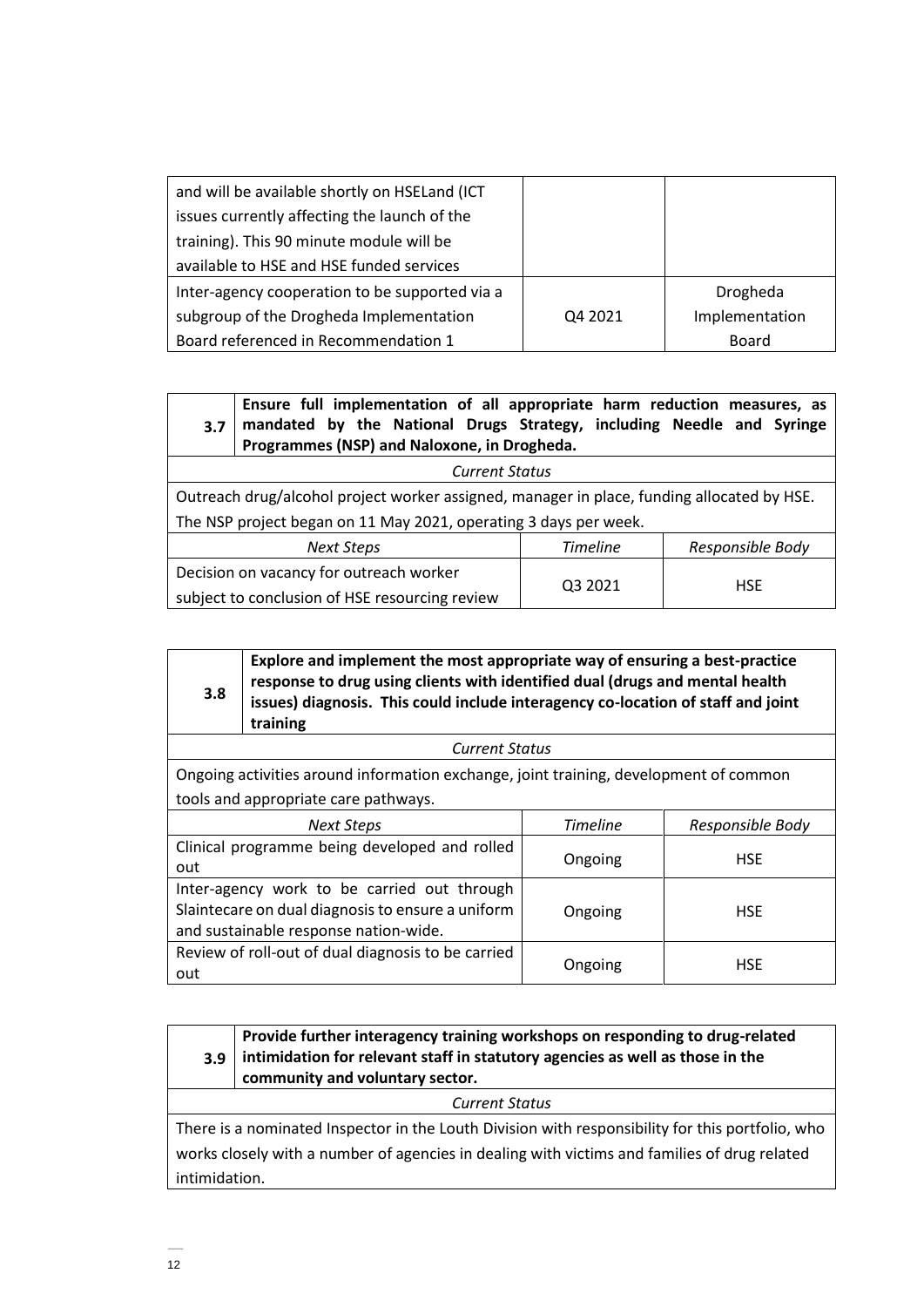| and will be available shortly on HSELand (ICT  |         |                |
|------------------------------------------------|---------|----------------|
| issues currently affecting the launch of the   |         |                |
| training). This 90 minute module will be       |         |                |
| available to HSE and HSE funded services       |         |                |
| Inter-agency cooperation to be supported via a |         | Drogheda       |
| subgroup of the Drogheda Implementation        | Q4 2021 | Implementation |
| Board referenced in Recommendation 1           |         | Board          |

#### **3.7 Ensure full implementation of all appropriate harm reduction measures, as mandated by the National Drugs Strategy, including Needle and Syringe Programmes (NSP) and Naloxone, in Drogheda.**

*Current Status* Outreach drug/alcohol project worker assigned, manager in place, funding allocated by HSE. The NSP project began on 11 May 2021, operating 3 days per week.

| Next Steps                                     | Timeline | Responsible Body |
|------------------------------------------------|----------|------------------|
| Decision on vacancy for outreach worker        |          |                  |
| subject to conclusion of HSE resourcing review | Q3 2021  | <b>HSE</b>       |

| 3.8                                                                                                                                                                | Explore and implement the most appropriate way of ensuring a best-practice<br>response to drug using clients with identified dual (drugs and mental health<br>issues) diagnosis. This could include interagency co-location of staff and joint<br>training |  |  |  |  |
|--------------------------------------------------------------------------------------------------------------------------------------------------------------------|------------------------------------------------------------------------------------------------------------------------------------------------------------------------------------------------------------------------------------------------------------|--|--|--|--|
|                                                                                                                                                                    | <b>Current Status</b>                                                                                                                                                                                                                                      |  |  |  |  |
|                                                                                                                                                                    | Ongoing activities around information exchange, joint training, development of common                                                                                                                                                                      |  |  |  |  |
| tools and appropriate care pathways.                                                                                                                               |                                                                                                                                                                                                                                                            |  |  |  |  |
|                                                                                                                                                                    | <b>Timeline</b><br>Responsible Body<br><b>Next Steps</b>                                                                                                                                                                                                   |  |  |  |  |
| Clinical programme being developed and rolled<br><b>HSE</b><br>Ongoing<br>out                                                                                      |                                                                                                                                                                                                                                                            |  |  |  |  |
| Inter-agency work to be carried out through<br>Slaintecare on dual diagnosis to ensure a uniform<br><b>HSE</b><br>Ongoing<br>and sustainable response nation-wide. |                                                                                                                                                                                                                                                            |  |  |  |  |
| Review of roll-out of dual diagnosis to be carried<br><b>HSE</b><br>Ongoing<br>out                                                                                 |                                                                                                                                                                                                                                                            |  |  |  |  |

| Provide further interagency training workshops on responding to drug-related          |
|---------------------------------------------------------------------------------------|
| $3.9$   intimidation for relevant staff in statutory agencies as well as those in the |
| community and voluntary sector.                                                       |

*Current Status*

There is a nominated Inspector in the Louth Division with responsibility for this portfolio, who works closely with a number of agencies in dealing with victims and families of drug related intimidation.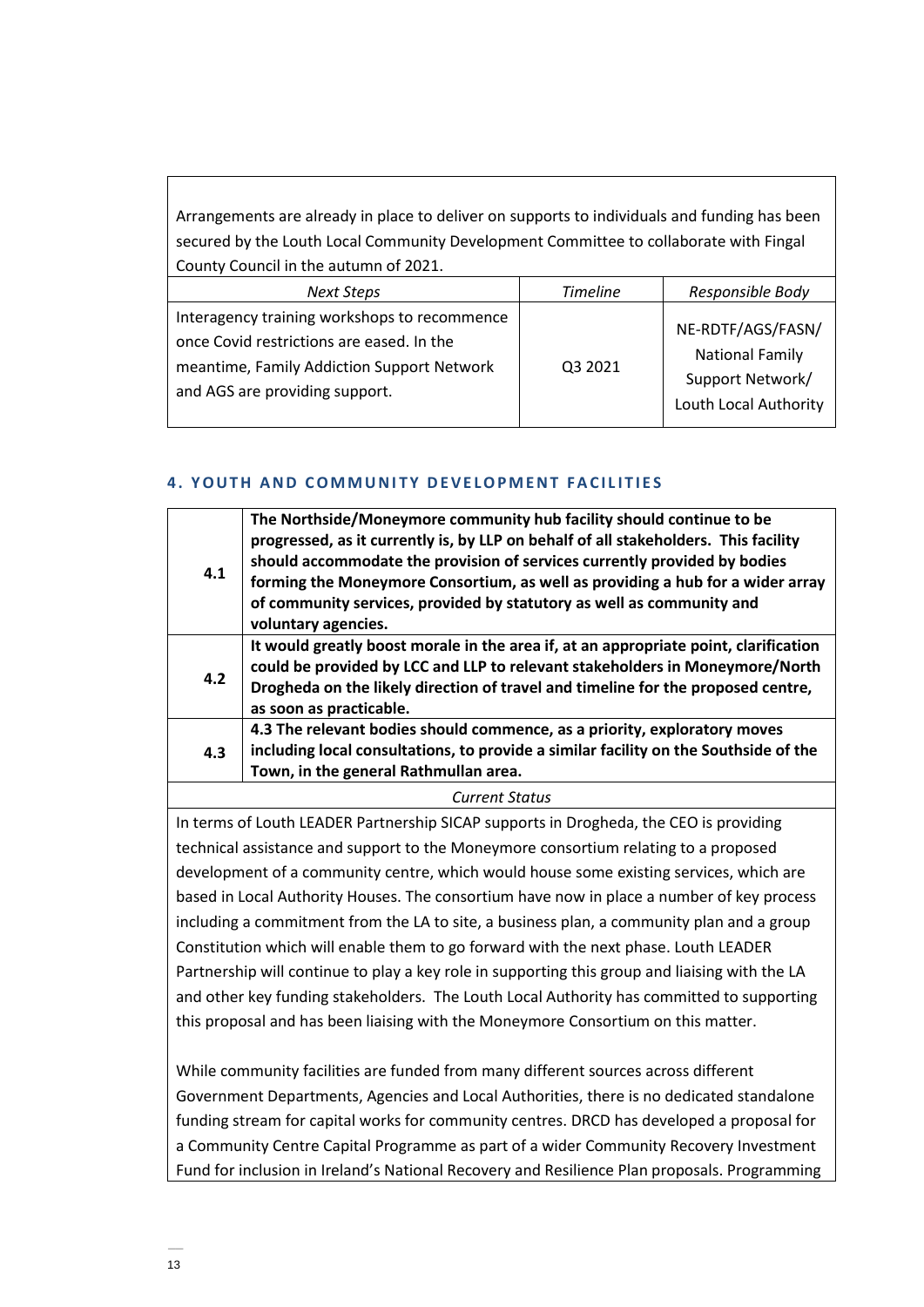Arrangements are already in place to deliver on supports to individuals and funding has been secured by the Louth Local Community Development Committee to collaborate with Fingal County Council in the autumn of 2021.

| Next Steps                                                                                                                                                                | <b>Timeline</b> | Responsible Body                                                                         |
|---------------------------------------------------------------------------------------------------------------------------------------------------------------------------|-----------------|------------------------------------------------------------------------------------------|
| Interagency training workshops to recommence<br>once Covid restrictions are eased. In the<br>meantime, Family Addiction Support Network<br>and AGS are providing support. | Q3 2021         | NE-RDTF/AGS/FASN/<br><b>National Family</b><br>Support Network/<br>Louth Local Authority |

# **4. YOUTH AND COMMUNITY DEVELOPMENT FACILITIES**

| 4.1 | The Northside/Moneymore community hub facility should continue to be<br>progressed, as it currently is, by LLP on behalf of all stakeholders. This facility<br>should accommodate the provision of services currently provided by bodies<br>forming the Moneymore Consortium, as well as providing a hub for a wider array<br>of community services, provided by statutory as well as community and<br>voluntary agencies. |
|-----|----------------------------------------------------------------------------------------------------------------------------------------------------------------------------------------------------------------------------------------------------------------------------------------------------------------------------------------------------------------------------------------------------------------------------|
| 4.2 | It would greatly boost morale in the area if, at an appropriate point, clarification<br>could be provided by LCC and LLP to relevant stakeholders in Moneymore/North<br>Drogheda on the likely direction of travel and timeline for the proposed centre,<br>as soon as practicable.                                                                                                                                        |
| 4.3 | 4.3 The relevant bodies should commence, as a priority, exploratory moves<br>including local consultations, to provide a similar facility on the Southside of the<br>Town, in the general Rathmullan area.                                                                                                                                                                                                                 |
|     | $\sim$ $\sim$                                                                                                                                                                                                                                                                                                                                                                                                              |

## *Current Status*

In terms of Louth LEADER Partnership SICAP supports in Drogheda, the CEO is providing technical assistance and support to the Moneymore consortium relating to a proposed development of a community centre, which would house some existing services, which are based in Local Authority Houses. The consortium have now in place a number of key process including a commitment from the LA to site, a business plan, a community plan and a group Constitution which will enable them to go forward with the next phase. Louth LEADER Partnership will continue to play a key role in supporting this group and liaising with the LA and other key funding stakeholders. The Louth Local Authority has committed to supporting this proposal and has been liaising with the Moneymore Consortium on this matter.

While community facilities are funded from many different sources across different Government Departments, Agencies and Local Authorities, there is no dedicated standalone funding stream for capital works for community centres. DRCD has developed a proposal for a Community Centre Capital Programme as part of a wider Community Recovery Investment Fund for inclusion in Ireland's National Recovery and Resilience Plan proposals. Programming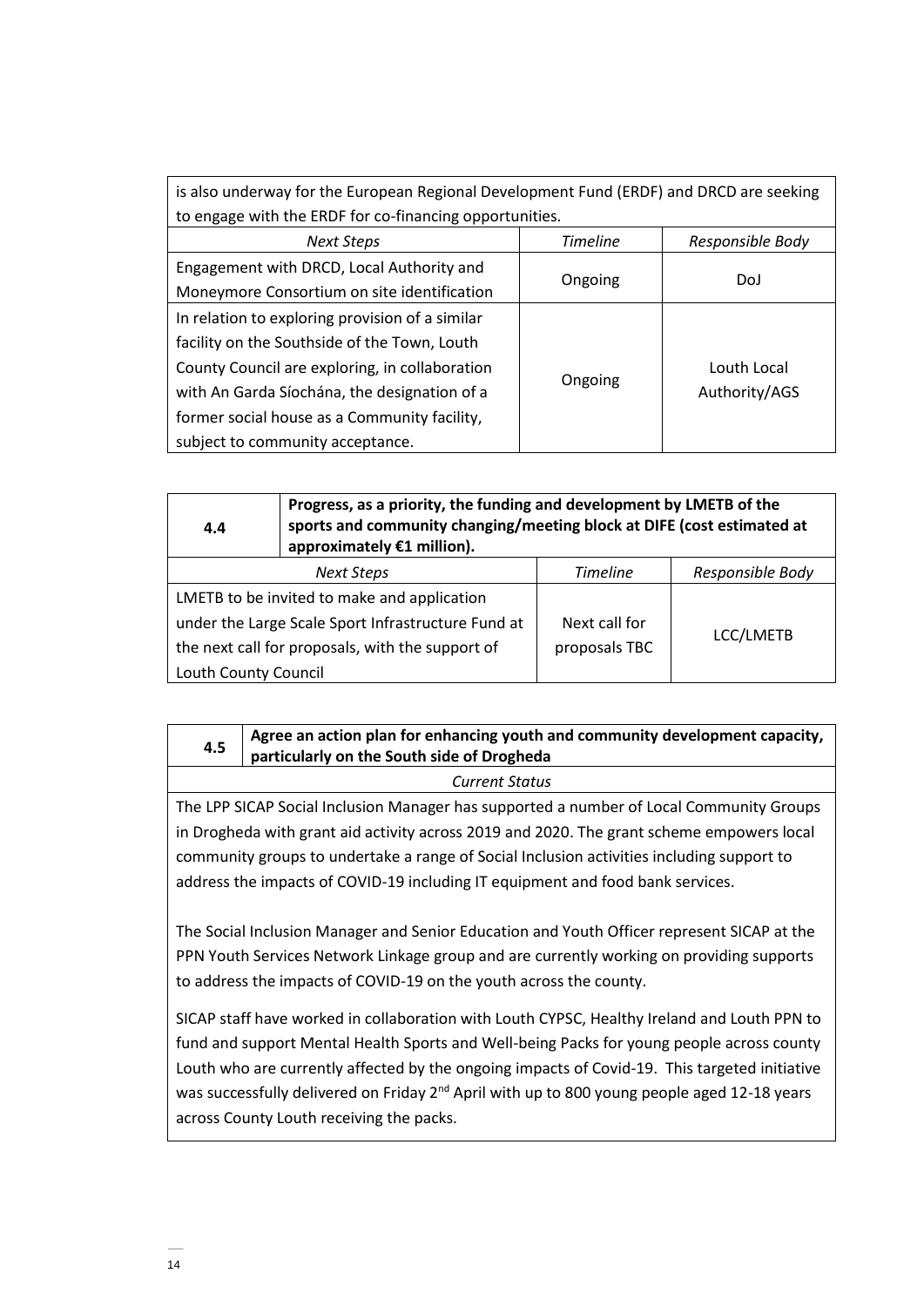| is also underway for the European Regional Development Fund (ERDF) and DRCD are seeking |         |               |  |  |
|-----------------------------------------------------------------------------------------|---------|---------------|--|--|
| to engage with the ERDF for co-financing opportunities.                                 |         |               |  |  |
| <b>Timeline</b><br>Responsible Body<br><b>Next Steps</b>                                |         |               |  |  |
| Engagement with DRCD, Local Authority and                                               |         |               |  |  |
| Moneymore Consortium on site identification                                             | Ongoing | DoJ           |  |  |
| In relation to exploring provision of a similar                                         |         |               |  |  |
| facility on the Southside of the Town, Louth                                            |         |               |  |  |
| County Council are exploring, in collaboration                                          |         | Louth Local   |  |  |
| with An Garda Síochána, the designation of a                                            | Ongoing | Authority/AGS |  |  |
| former social house as a Community facility,                                            |         |               |  |  |
| subject to community acceptance.                                                        |         |               |  |  |

| 4.4                                                      | Progress, as a priority, the funding and development by LMETB of the<br>sports and community changing/meeting block at DIFE (cost estimated at<br>approximately €1 million). |               |           |  |
|----------------------------------------------------------|------------------------------------------------------------------------------------------------------------------------------------------------------------------------------|---------------|-----------|--|
| <b>Timeline</b><br>Responsible Body<br><b>Next Steps</b> |                                                                                                                                                                              |               |           |  |
| LMETB to be invited to make and application              |                                                                                                                                                                              |               |           |  |
|                                                          | under the Large Scale Sport Infrastructure Fund at                                                                                                                           | Next call for |           |  |
|                                                          | the next call for proposals, with the support of                                                                                                                             | proposals TBC | LCC/LMETB |  |
| Louth County Council                                     |                                                                                                                                                                              |               |           |  |

#### **4.5 Agree an action plan for enhancing youth and community development capacity, particularly on the South side of Drogheda**

*Current Status*

The LPP SICAP Social Inclusion Manager has supported a number of Local Community Groups in Drogheda with grant aid activity across 2019 and 2020. The grant scheme empowers local community groups to undertake a range of Social Inclusion activities including support to address the impacts of COVID-19 including IT equipment and food bank services.

The Social Inclusion Manager and Senior Education and Youth Officer represent SICAP at the PPN Youth Services Network Linkage group and are currently working on providing supports to address the impacts of COVID-19 on the youth across the county.

SICAP staff have worked in collaboration with Louth CYPSC, Healthy Ireland and Louth PPN to fund and support Mental Health Sports and Well-being Packs for young people across county Louth who are currently affected by the ongoing impacts of Covid-19. This targeted initiative was successfully delivered on Friday 2<sup>nd</sup> April with up to 800 young people aged 12-18 years across County Louth receiving the packs.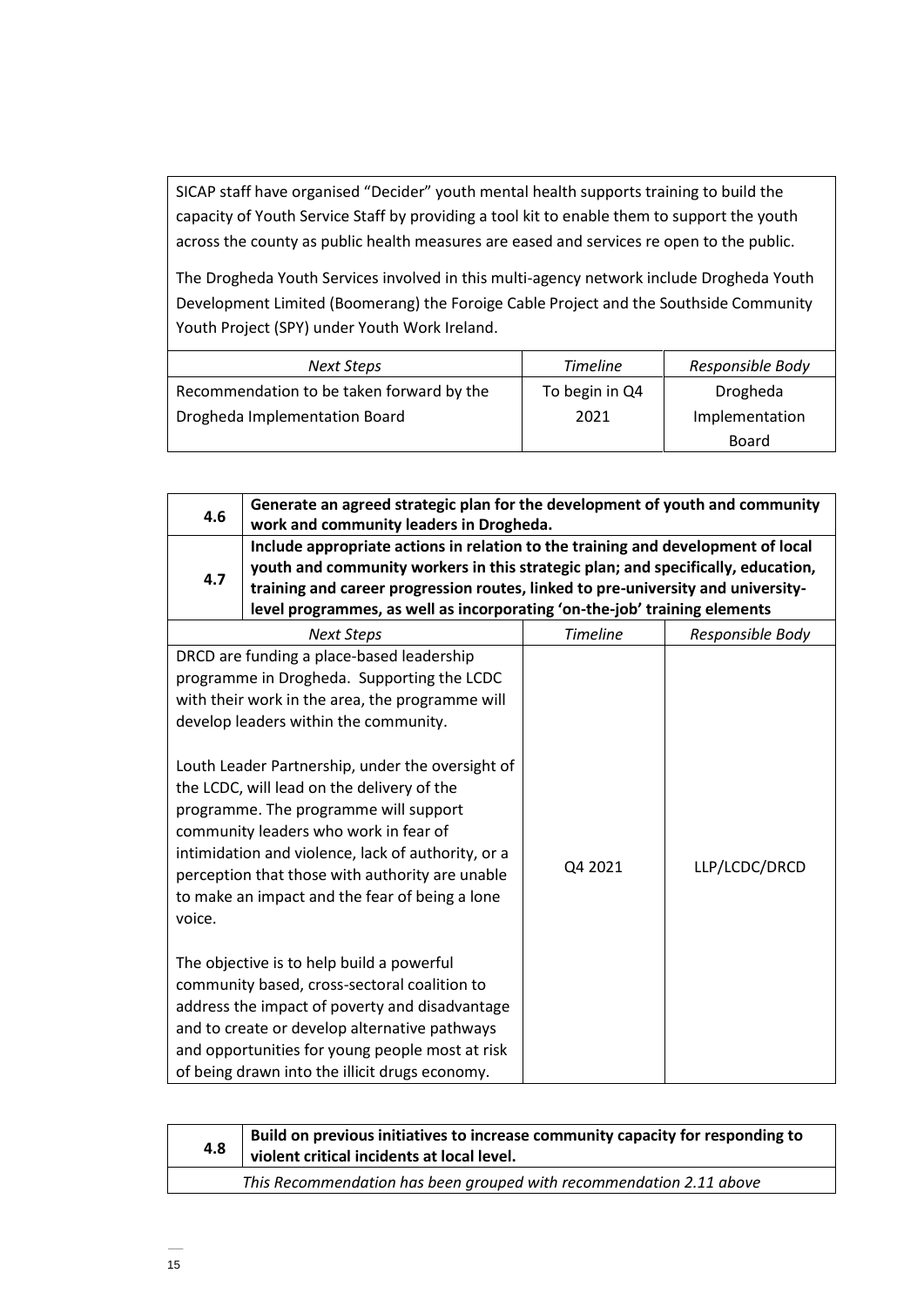SICAP staff have organised "Decider" youth mental health supports training to build the capacity of Youth Service Staff by providing a tool kit to enable them to support the youth across the county as public health measures are eased and services re open to the public.

The Drogheda Youth Services involved in this multi-agency network include Drogheda Youth Development Limited (Boomerang) the Foroige Cable Project and the Southside Community Youth Project (SPY) under Youth Work Ireland.

| Next Steps                                | <b>Timeline</b> | Responsible Body |
|-------------------------------------------|-----------------|------------------|
| Recommendation to be taken forward by the | To begin in Q4  | Drogheda         |
| Drogheda Implementation Board             | 2021            | Implementation   |
|                                           |                 | <b>Board</b>     |

| 4.6    | Generate an agreed strategic plan for the development of youth and community<br>work and community leaders in Drogheda.                                                                                                                                                                                                                                                                                                                                                                                                                                                                                                                                                                                                                                                               |                 |                  |
|--------|---------------------------------------------------------------------------------------------------------------------------------------------------------------------------------------------------------------------------------------------------------------------------------------------------------------------------------------------------------------------------------------------------------------------------------------------------------------------------------------------------------------------------------------------------------------------------------------------------------------------------------------------------------------------------------------------------------------------------------------------------------------------------------------|-----------------|------------------|
| 4.7    | Include appropriate actions in relation to the training and development of local<br>youth and community workers in this strategic plan; and specifically, education,<br>training and career progression routes, linked to pre-university and university-<br>level programmes, as well as incorporating 'on-the-job' training elements                                                                                                                                                                                                                                                                                                                                                                                                                                                 |                 |                  |
|        | <b>Next Steps</b>                                                                                                                                                                                                                                                                                                                                                                                                                                                                                                                                                                                                                                                                                                                                                                     | <b>Timeline</b> | Responsible Body |
| voice. | DRCD are funding a place-based leadership<br>programme in Drogheda. Supporting the LCDC<br>with their work in the area, the programme will<br>develop leaders within the community.<br>Louth Leader Partnership, under the oversight of<br>the LCDC, will lead on the delivery of the<br>programme. The programme will support<br>community leaders who work in fear of<br>intimidation and violence, lack of authority, or a<br>perception that those with authority are unable<br>to make an impact and the fear of being a lone<br>The objective is to help build a powerful<br>community based, cross-sectoral coalition to<br>address the impact of poverty and disadvantage<br>and to create or develop alternative pathways<br>and opportunities for young people most at risk | Q4 2021         | LLP/LCDC/DRCD    |

| 4.8                                                                 | Build on previous initiatives to increase community capacity for responding to<br>violent critical incidents at local level. |  |
|---------------------------------------------------------------------|------------------------------------------------------------------------------------------------------------------------------|--|
| This Recommendation has been grouped with recommendation 2.11 above |                                                                                                                              |  |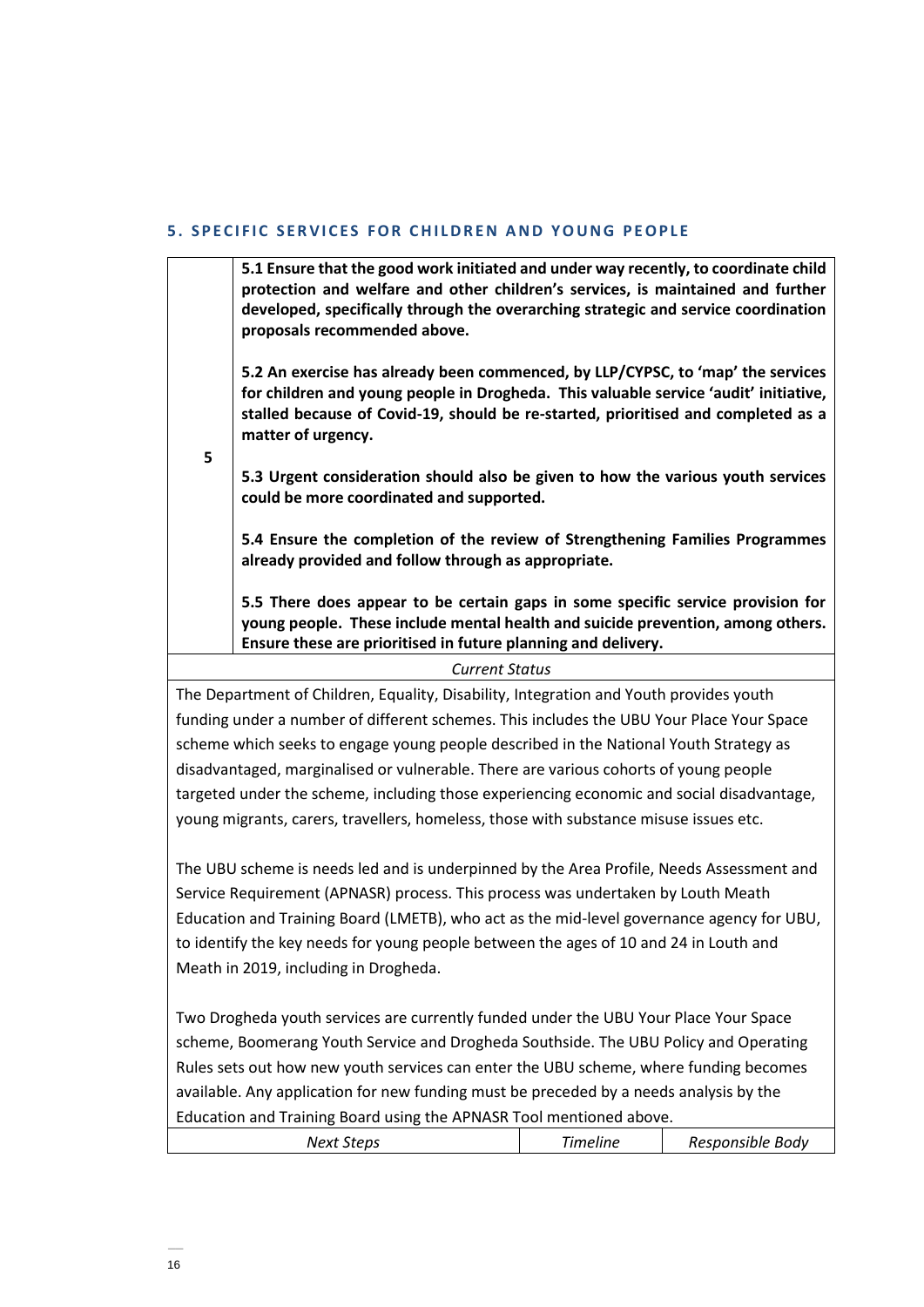#### **5. SPECIFIC SERVICES FOR CHILDREN AND YOUNG PEOPLE**

**5.1 Ensure that the good work initiated and under way recently, to coordinate child protection and welfare and other children's services, is maintained and further developed, specifically through the overarching strategic and service coordination proposals recommended above.**

**5.2 An exercise has already been commenced, by LLP/CYPSC, to 'map' the services for children and young people in Drogheda. This valuable service 'audit' initiative, stalled because of Covid-19, should be re-started, prioritised and completed as a matter of urgency.** 

**5**

**5.3 Urgent consideration should also be given to how the various youth services could be more coordinated and supported.** 

**5.4 Ensure the completion of the review of Strengthening Families Programmes already provided and follow through as appropriate.** 

**5.5 There does appear to be certain gaps in some specific service provision for young people. These include mental health and suicide prevention, among others. Ensure these are prioritised in future planning and delivery.** 

#### *Current Status*

The Department of Children, Equality, Disability, Integration and Youth provides youth funding under a number of different schemes. This includes the UBU Your Place Your Space scheme which seeks to engage young people described in the National Youth Strategy as disadvantaged, marginalised or vulnerable. There are various cohorts of young people targeted under the scheme, including those experiencing economic and social disadvantage, young migrants, carers, travellers, homeless, those with substance misuse issues etc.

The UBU scheme is needs led and is underpinned by the Area Profile, Needs Assessment and Service Requirement (APNASR) process. This process was undertaken by Louth Meath Education and Training Board (LMETB), who act as the mid-level governance agency for UBU, to identify the key needs for young people between the ages of 10 and 24 in Louth and Meath in 2019, including in Drogheda.

Two Drogheda youth services are currently funded under the UBU Your Place Your Space scheme, Boomerang Youth Service and Drogheda Southside. The UBU Policy and Operating Rules sets out how new youth services can enter the UBU scheme, where funding becomes available. Any application for new funding must be preceded by a needs analysis by the Education and Training Board using the APNASR Tool mentioned above.

| Next Steps | <i><b>imeline</b></i> | Responsible Body |
|------------|-----------------------|------------------|
|            |                       |                  |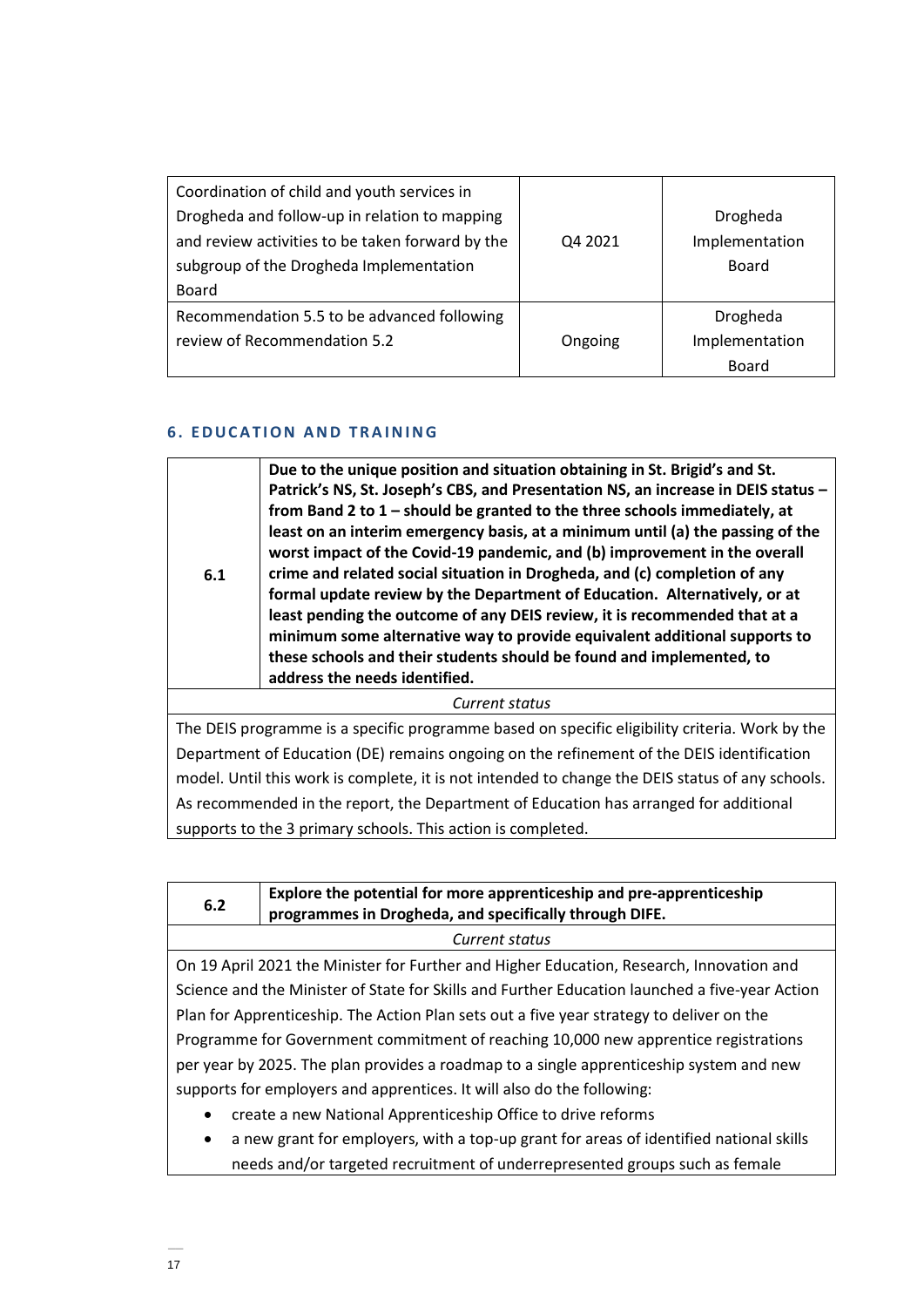| Coordination of child and youth services in<br>Drogheda and follow-up in relation to mapping<br>and review activities to be taken forward by the<br>subgroup of the Drogheda Implementation<br><b>Board</b> | Q4 2021 | Drogheda<br>Implementation<br>Board        |
|-------------------------------------------------------------------------------------------------------------------------------------------------------------------------------------------------------------|---------|--------------------------------------------|
| Recommendation 5.5 to be advanced following<br>review of Recommendation 5.2                                                                                                                                 | Ongoing | Drogheda<br>Implementation<br><b>Board</b> |

## **6 . E D U C A T I O N A N D T R A INING**

| 6.1 | Due to the unique position and situation obtaining in St. Brigid's and St.<br>Patrick's NS, St. Joseph's CBS, and Presentation NS, an increase in DEIS status -<br>from Band 2 to 1 – should be granted to the three schools immediately, at<br>least on an interim emergency basis, at a minimum until (a) the passing of the<br>worst impact of the Covid-19 pandemic, and (b) improvement in the overall<br>crime and related social situation in Drogheda, and (c) completion of any<br>formal update review by the Department of Education. Alternatively, or at<br>least pending the outcome of any DEIS review, it is recommended that at a<br>minimum some alternative way to provide equivalent additional supports to<br>these schools and their students should be found and implemented, to<br>address the needs identified. |
|-----|------------------------------------------------------------------------------------------------------------------------------------------------------------------------------------------------------------------------------------------------------------------------------------------------------------------------------------------------------------------------------------------------------------------------------------------------------------------------------------------------------------------------------------------------------------------------------------------------------------------------------------------------------------------------------------------------------------------------------------------------------------------------------------------------------------------------------------------|
|     | Current status                                                                                                                                                                                                                                                                                                                                                                                                                                                                                                                                                                                                                                                                                                                                                                                                                           |
|     | The DEIS programme is a specific programme based on specific eligibility criteria. Work by the                                                                                                                                                                                                                                                                                                                                                                                                                                                                                                                                                                                                                                                                                                                                           |
|     | Bossou de la final contro /BRN codesto con esta contro de Arcore de la BRN BRNA de ArcorA de la                                                                                                                                                                                                                                                                                                                                                                                                                                                                                                                                                                                                                                                                                                                                          |

Department of Education (DE) remains ongoing on the refinement of the DEIS identification model. Until this work is complete, it is not intended to change the DEIS status of any schools. As recommended in the report, the Department of Education has arranged for additional supports to the 3 primary schools. This action is completed.

| 6.2                                                                                            | Explore the potential for more apprenticeship and pre-apprenticeship<br>programmes in Drogheda, and specifically through DIFE. |  |
|------------------------------------------------------------------------------------------------|--------------------------------------------------------------------------------------------------------------------------------|--|
|                                                                                                | Current status                                                                                                                 |  |
| On 19 April 2021 the Minister for Further and Higher Education, Research, Innovation and       |                                                                                                                                |  |
| Science and the Minister of State for Skills and Further Education launched a five-year Action |                                                                                                                                |  |
| Plan for Apprenticeship. The Action Plan sets out a five year strategy to deliver on the       |                                                                                                                                |  |
| Programme for Government commitment of reaching 10,000 new apprentice registrations            |                                                                                                                                |  |
| per year by 2025. The plan provides a roadmap to a single apprenticeship system and new        |                                                                                                                                |  |
| supports for employers and apprentices. It will also do the following:                         |                                                                                                                                |  |
| $\bullet$                                                                                      | create a new National Apprenticeship Office to drive reforms                                                                   |  |
| $\bullet$                                                                                      | a new grant for employers, with a top-up grant for areas of identified national skills                                         |  |
|                                                                                                | needs and/or targeted recruitment of underrepresented groups such as female                                                    |  |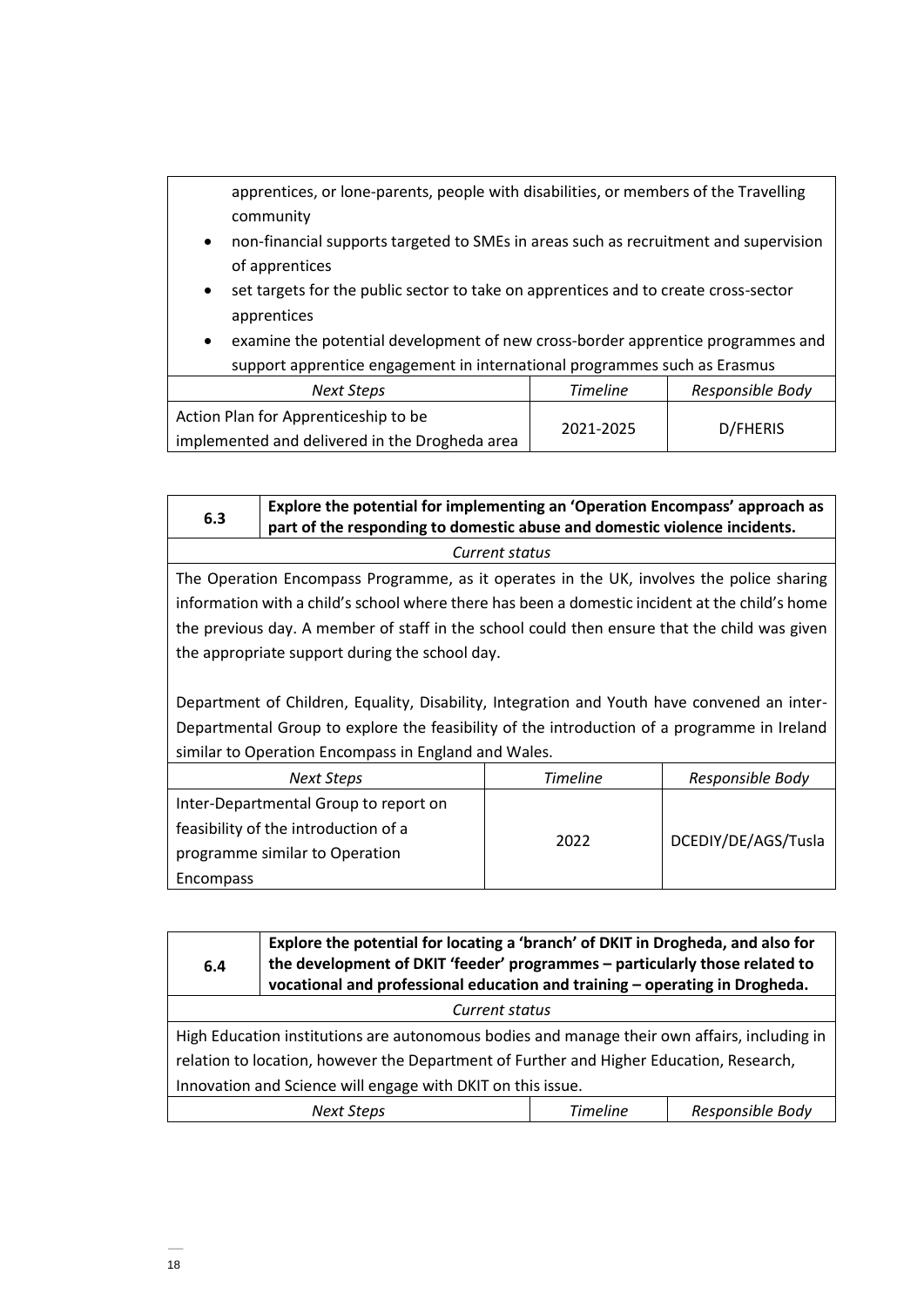|                                                                                                                 | apprentices, or lone-parents, people with disabilities, or members of the Travelling<br>community                                                                                     |  |  |  |
|-----------------------------------------------------------------------------------------------------------------|---------------------------------------------------------------------------------------------------------------------------------------------------------------------------------------|--|--|--|
| $\bullet$                                                                                                       | non-financial supports targeted to SMEs in areas such as recruitment and supervision<br>of apprentices                                                                                |  |  |  |
| $\bullet$<br>$\bullet$                                                                                          | set targets for the public sector to take on apprentices and to create cross-sector<br>apprentices<br>examine the potential development of new cross-border apprentice programmes and |  |  |  |
| support apprentice engagement in international programmes such as Erasmus                                       |                                                                                                                                                                                       |  |  |  |
| <b>Timeline</b><br>Responsible Body<br><b>Next Steps</b>                                                        |                                                                                                                                                                                       |  |  |  |
| Action Plan for Apprenticeship to be<br>D/FHERIS<br>2021-2025<br>implemented and delivered in the Drogheda area |                                                                                                                                                                                       |  |  |  |

| 6.3                                                                                         | Explore the potential for implementing an 'Operation Encompass' approach as<br>part of the responding to domestic abuse and domestic violence incidents. |                             |  |  |
|---------------------------------------------------------------------------------------------|----------------------------------------------------------------------------------------------------------------------------------------------------------|-----------------------------|--|--|
|                                                                                             |                                                                                                                                                          | Current status              |  |  |
|                                                                                             | The Operation Encompass Programme, as it operates in the UK, involves the police sharing                                                                 |                             |  |  |
|                                                                                             | information with a child's school where there has been a domestic incident at the child's home                                                           |                             |  |  |
|                                                                                             | the previous day. A member of staff in the school could then ensure that the child was given                                                             |                             |  |  |
|                                                                                             | the appropriate support during the school day.                                                                                                           |                             |  |  |
|                                                                                             |                                                                                                                                                          |                             |  |  |
| Department of Children, Equality, Disability, Integration and Youth have convened an inter- |                                                                                                                                                          |                             |  |  |
| Departmental Group to explore the feasibility of the introduction of a programme in Ireland |                                                                                                                                                          |                             |  |  |
|                                                                                             | similar to Operation Encompass in England and Wales.                                                                                                     |                             |  |  |
|                                                                                             | <b>Timeline</b><br>Responsible Body<br><b>Next Steps</b>                                                                                                 |                             |  |  |
|                                                                                             | Inter-Departmental Group to report on                                                                                                                    |                             |  |  |
| feasibility of the introduction of a                                                        |                                                                                                                                                          |                             |  |  |
|                                                                                             | programme similar to Operation                                                                                                                           | DCEDIY/DE/AGS/Tusla<br>2022 |  |  |
| <b>Encompass</b>                                                                            |                                                                                                                                                          |                             |  |  |

| 6.4                                                                                          | Explore the potential for locating a 'branch' of DKIT in Drogheda, and also for<br>the development of DKIT 'feeder' programmes - particularly those related to<br>vocational and professional education and training - operating in Drogheda. |  |  |  |
|----------------------------------------------------------------------------------------------|-----------------------------------------------------------------------------------------------------------------------------------------------------------------------------------------------------------------------------------------------|--|--|--|
| Current status                                                                               |                                                                                                                                                                                                                                               |  |  |  |
| High Education institutions are autonomous bodies and manage their own affairs, including in |                                                                                                                                                                                                                                               |  |  |  |
| relation to location, however the Department of Further and Higher Education, Research,      |                                                                                                                                                                                                                                               |  |  |  |
| Innovation and Science will engage with DKIT on this issue.                                  |                                                                                                                                                                                                                                               |  |  |  |
| Responsible Body<br><b>Timeline</b><br><b>Next Steps</b>                                     |                                                                                                                                                                                                                                               |  |  |  |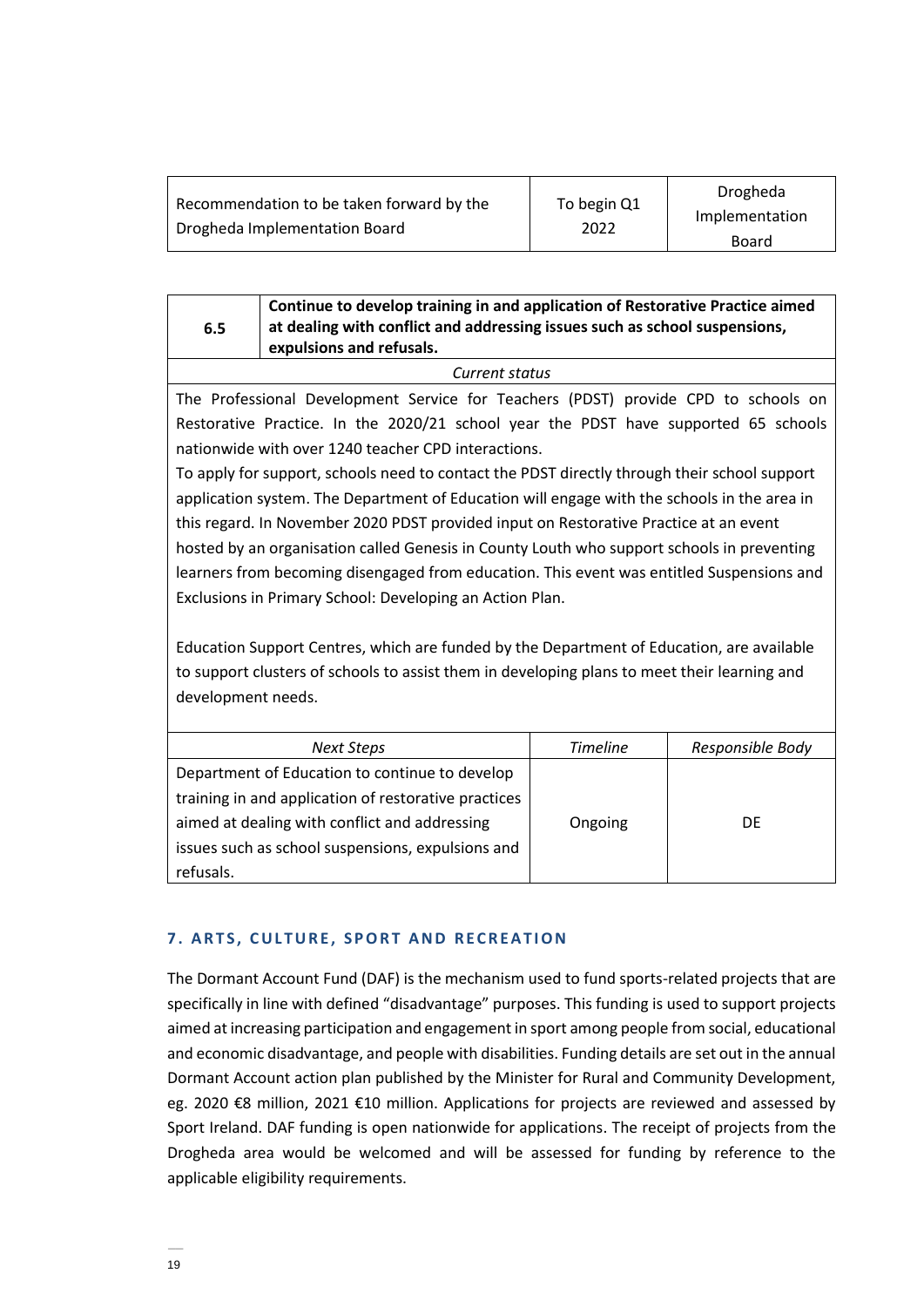| Recommendation to be taken forward by the | To begin Q1 | Drogheda       |
|-------------------------------------------|-------------|----------------|
| Drogheda Implementation Board             | 2022        | Implementation |
|                                           |             | Board          |

| 6.5            | Continue to develop training in and application of Restorative Practice aimed<br>at dealing with conflict and addressing issues such as school suspensions,<br>expulsions and refusals. |  |
|----------------|-----------------------------------------------------------------------------------------------------------------------------------------------------------------------------------------|--|
| Current status |                                                                                                                                                                                         |  |

The Professional Development Service for Teachers (PDST) provide CPD to schools on Restorative Practice. In the 2020/21 school year the PDST have supported 65 schools nationwide with over 1240 teacher CPD interactions.

To apply for support, schools need to contact the PDST directly through their school support application system. The Department of Education will engage with the schools in the area in this regard. In November 2020 PDST provided input on Restorative Practice at an event hosted by an organisation called Genesis in County Louth who support schools in preventing learners from becoming disengaged from education. This event was entitled Suspensions and Exclusions in Primary School: Developing an Action Plan.

Education Support Centres, which are funded by the Department of Education, are available to support clusters of schools to assist them in developing plans to meet their learning and development needs.

| Next Steps                                           | <b>Timeline</b> | Responsible Body |
|------------------------------------------------------|-----------------|------------------|
| Department of Education to continue to develop       |                 |                  |
| training in and application of restorative practices |                 |                  |
| aimed at dealing with conflict and addressing        | Ongoing         | DF               |
| issues such as school suspensions, expulsions and    |                 |                  |
| refusals.                                            |                 |                  |

# **7. ARTS, CULTURE, SPORT AND RECREATION**

The Dormant Account Fund (DAF) is the mechanism used to fund sports-related projects that are specifically in line with defined "disadvantage" purposes. This funding is used to support projects aimed at increasing participation and engagement in sport among people from social, educational and economic disadvantage, and people with disabilities. Funding details are set out in the annual Dormant Account action plan published by the Minister for Rural and Community Development, eg. 2020 €8 million, 2021 €10 million. Applications for projects are reviewed and assessed by Sport Ireland. DAF funding is open nationwide for applications. The receipt of projects from the Drogheda area would be welcomed and will be assessed for funding by reference to the applicable eligibility requirements.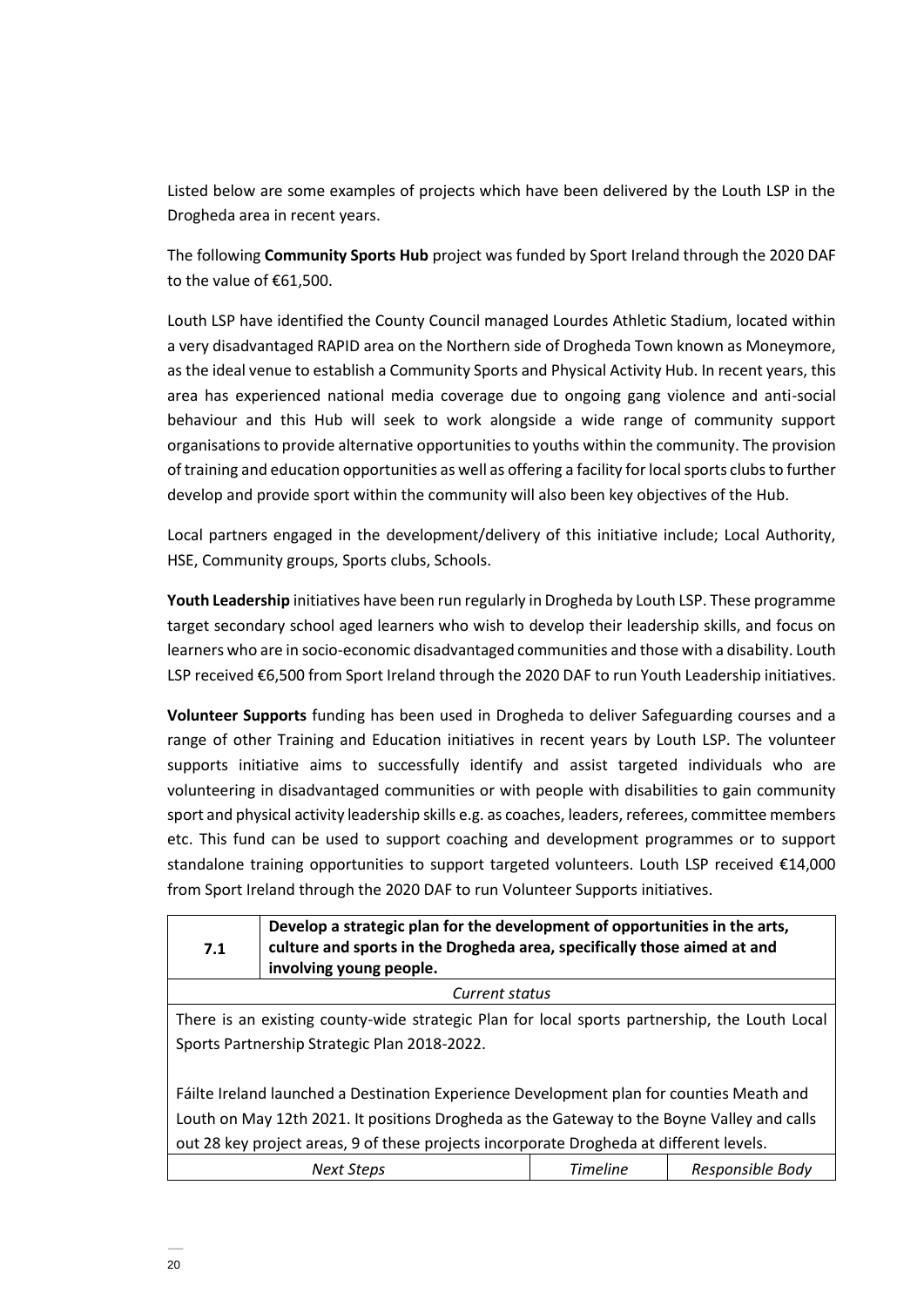Listed below are some examples of projects which have been delivered by the Louth LSP in the Drogheda area in recent years.

The following **Community Sports Hub** project was funded by Sport Ireland through the 2020 DAF to the value of €61,500.

Louth LSP have identified the County Council managed Lourdes Athletic Stadium, located within a very disadvantaged RAPID area on the Northern side of Drogheda Town known as Moneymore, as the ideal venue to establish a Community Sports and Physical Activity Hub. In recent years, this area has experienced national media coverage due to ongoing gang violence and anti-social behaviour and this Hub will seek to work alongside a wide range of community support organisations to provide alternative opportunities to youths within the community. The provision of training and education opportunities as well as offering a facility for local sports clubs to further develop and provide sport within the community will also been key objectives of the Hub.

Local partners engaged in the development/delivery of this initiative include; Local Authority, HSE, Community groups, Sports clubs, Schools.

**Youth Leadership** initiatives have been run regularly in Drogheda by Louth LSP. These programme target secondary school aged learners who wish to develop their leadership skills, and focus on learners who are in socio-economic disadvantaged communities and those with a disability. Louth LSP received €6,500 from Sport Ireland through the 2020 DAF to run Youth Leadership initiatives.

**Volunteer Supports** funding has been used in Drogheda to deliver Safeguarding courses and a range of other Training and Education initiatives in recent years by Louth LSP. The volunteer supports initiative aims to successfully identify and assist targeted individuals who are volunteering in disadvantaged communities or with people with disabilities to gain community sport and physical activity leadership skills e.g. as coaches, leaders, referees, committee members etc. This fund can be used to support coaching and development programmes or to support standalone training opportunities to support targeted volunteers. Louth LSP received €14,000 from Sport Ireland through the 2020 DAF to run Volunteer Supports initiatives.

| 7.1                                                                                                                                                                                                                                                                               | Develop a strategic plan for the development of opportunities in the arts,<br>culture and sports in the Drogheda area, specifically those aimed at and<br>involving young people. |  |  |  |
|-----------------------------------------------------------------------------------------------------------------------------------------------------------------------------------------------------------------------------------------------------------------------------------|-----------------------------------------------------------------------------------------------------------------------------------------------------------------------------------|--|--|--|
|                                                                                                                                                                                                                                                                                   | Current status                                                                                                                                                                    |  |  |  |
|                                                                                                                                                                                                                                                                                   | There is an existing county-wide strategic Plan for local sports partnership, the Louth Local                                                                                     |  |  |  |
|                                                                                                                                                                                                                                                                                   | Sports Partnership Strategic Plan 2018-2022.                                                                                                                                      |  |  |  |
| Fáilte Ireland launched a Destination Experience Development plan for counties Meath and<br>Louth on May 12th 2021. It positions Drogheda as the Gateway to the Boyne Valley and calls<br>out 28 key project areas, 9 of these projects incorporate Drogheda at different levels. |                                                                                                                                                                                   |  |  |  |
| <b>Timeline</b><br>Responsible Body<br><b>Next Steps</b>                                                                                                                                                                                                                          |                                                                                                                                                                                   |  |  |  |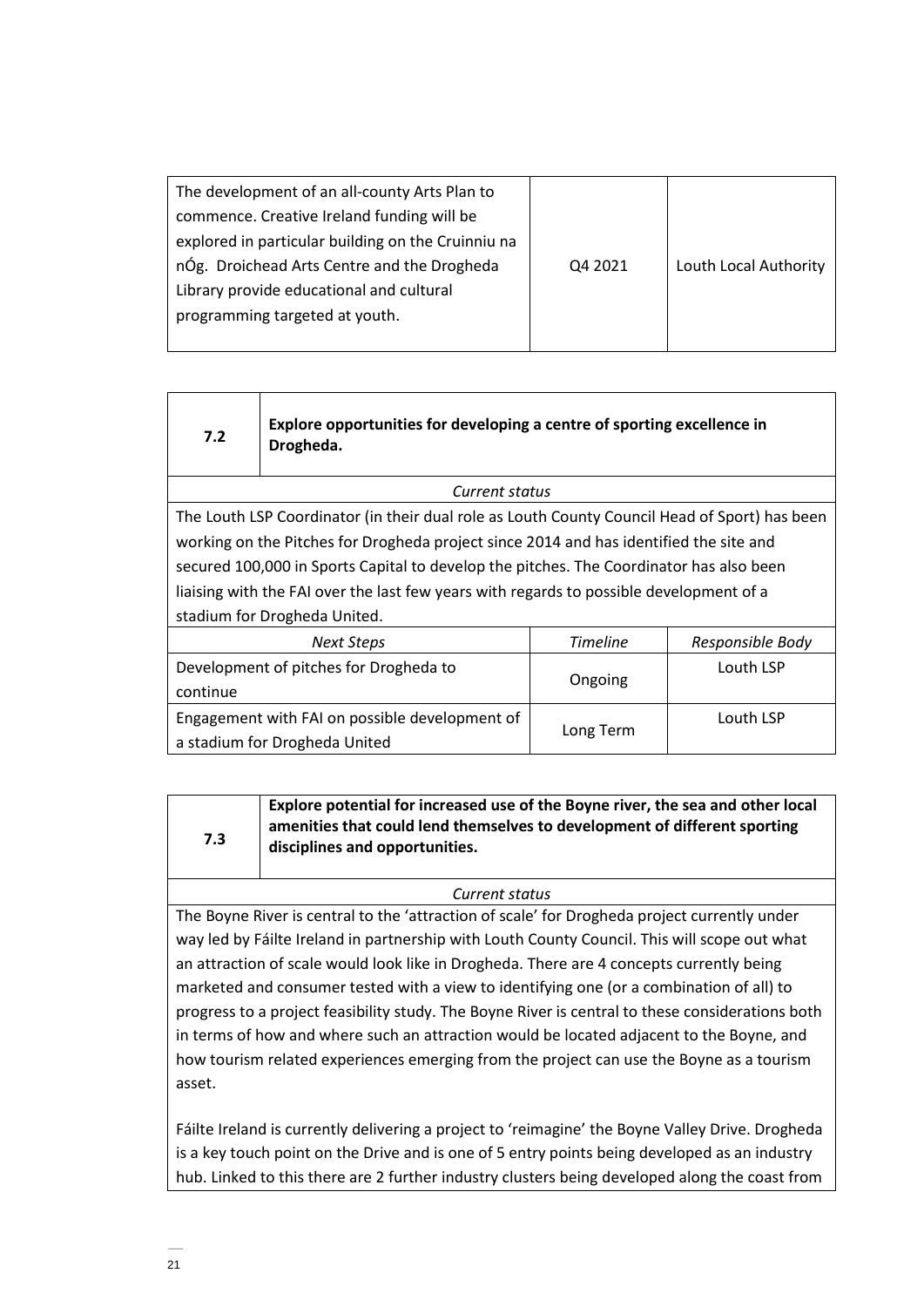| The development of an all-county Arts Plan to      |         |                       |
|----------------------------------------------------|---------|-----------------------|
| commence. Creative Ireland funding will be         |         |                       |
| explored in particular building on the Cruinniu na |         |                       |
| nÓg. Droichead Arts Centre and the Drogheda        | Q4 2021 | Louth Local Authority |
| Library provide educational and cultural           |         |                       |
| programming targeted at youth.                     |         |                       |
|                                                    |         |                       |

# **7.2**

**7.3**

**Explore opportunities for developing a centre of sporting excellence in Drogheda.**

*Current status*

The Louth LSP Coordinator (in their dual role as Louth County Council Head of Sport) has been working on the Pitches for Drogheda project since 2014 and has identified the site and secured 100,000 in Sports Capital to develop the pitches. The Coordinator has also been liaising with the FAI over the last few years with regards to possible development of a stadium for Drogheda United.

| Next Steps                                     | <b>Timeline</b> | Responsible Body |
|------------------------------------------------|-----------------|------------------|
| Development of pitches for Drogheda to         |                 | Louth LSP        |
| continue                                       | Ongoing         |                  |
| Engagement with FAI on possible development of |                 | Louth LSP        |
| a stadium for Drogheda United                  | Long Term       |                  |

**Explore potential for increased use of the Boyne river, the sea and other local amenities that could lend themselves to development of different sporting disciplines and opportunities.**

*Current status*

The Boyne River is central to the 'attraction of scale' for Drogheda project currently under way led by Fáilte Ireland in partnership with Louth County Council. This will scope out what an attraction of scale would look like in Drogheda. There are 4 concepts currently being marketed and consumer tested with a view to identifying one (or a combination of all) to progress to a project feasibility study. The Boyne River is central to these considerations both in terms of how and where such an attraction would be located adjacent to the Boyne, and how tourism related experiences emerging from the project can use the Boyne as a tourism asset.

Fáilte Ireland is currently delivering a project to 'reimagine' the Boyne Valley Drive. Drogheda is a key touch point on the Drive and is one of 5 entry points being developed as an industry hub. Linked to this there are 2 further industry clusters being developed along the coast from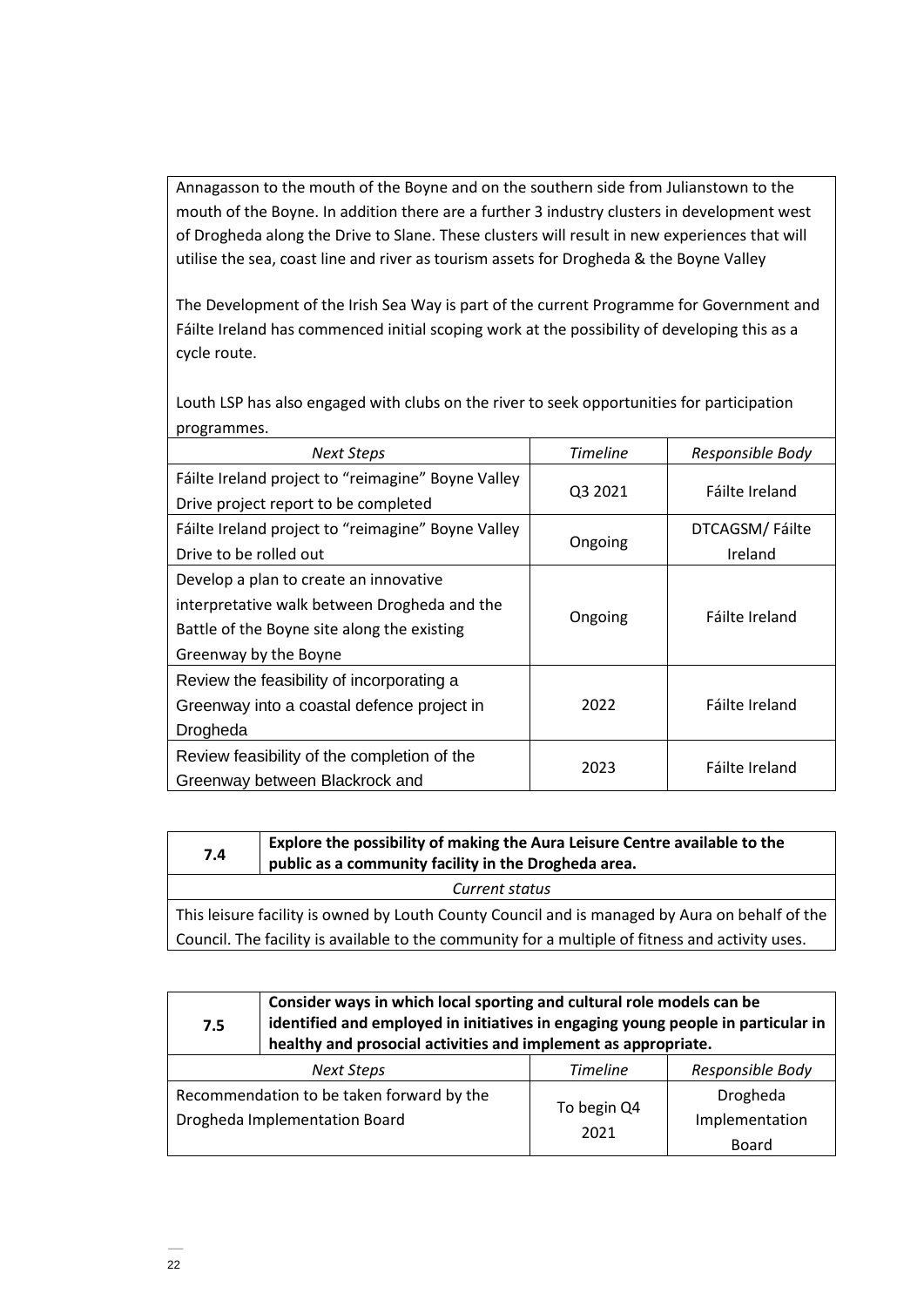Annagasson to the mouth of the Boyne and on the southern side from Julianstown to the mouth of the Boyne. In addition there are a further 3 industry clusters in development west of Drogheda along the Drive to Slane. These clusters will result in new experiences that will utilise the sea, coast line and river as tourism assets for Drogheda & the Boyne Valley

The Development of the Irish Sea Way is part of the current Programme for Government and Fáilte Ireland has commenced initial scoping work at the possibility of developing this as a cycle route.

Louth LSP has also engaged with clubs on the river to seek opportunities for participation programmes.

| <b>Next Steps</b>                                      | <b>Timeline</b> | Responsible Body |
|--------------------------------------------------------|-----------------|------------------|
| Fáilte Ireland project to "reimagine" Boyne Valley     |                 |                  |
| Drive project report to be completed                   | Q3 2021         | Fáilte Ireland   |
| Fáilte Ireland project to "reimagine" Boyne Valley     |                 | DTCAGSM/Fáilte   |
| Drive to be rolled out                                 | Ongoing         | Ireland          |
| Develop a plan to create an innovative                 |                 |                  |
| interpretative walk between Drogheda and the           |                 | Fáilte Ireland   |
| Ongoing<br>Battle of the Boyne site along the existing |                 |                  |
| Greenway by the Boyne                                  |                 |                  |
| Review the feasibility of incorporating a              |                 |                  |
| Greenway into a coastal defence project in             | 2022            | Fáilte Ireland   |
| Drogheda                                               |                 |                  |
| Review feasibility of the completion of the            |                 |                  |
| Greenway between Blackrock and                         | 2023            | Fáilte Ireland   |

| Explore the possibility of making the Aura Leisure Centre available to the<br>7.4<br>public as a community facility in the Drogheda area. |  |  |  |
|-------------------------------------------------------------------------------------------------------------------------------------------|--|--|--|
| Current status                                                                                                                            |  |  |  |
| This leisure facility is owned by Louth County Council and is managed by Aura on behalf of the                                            |  |  |  |

Council. The facility is available to the community for a multiple of fitness and activity uses.

**7.5 Consider ways in which local sporting and cultural role models can be identified and employed in initiatives in engaging young people in particular in healthy and prosocial activities and implement as appropriate.** *Next Steps Timeline Responsible Body* Recommendation to be taken forward by the Drogheda Implementation Board To begin Q4 2021 Drogheda Implementation Board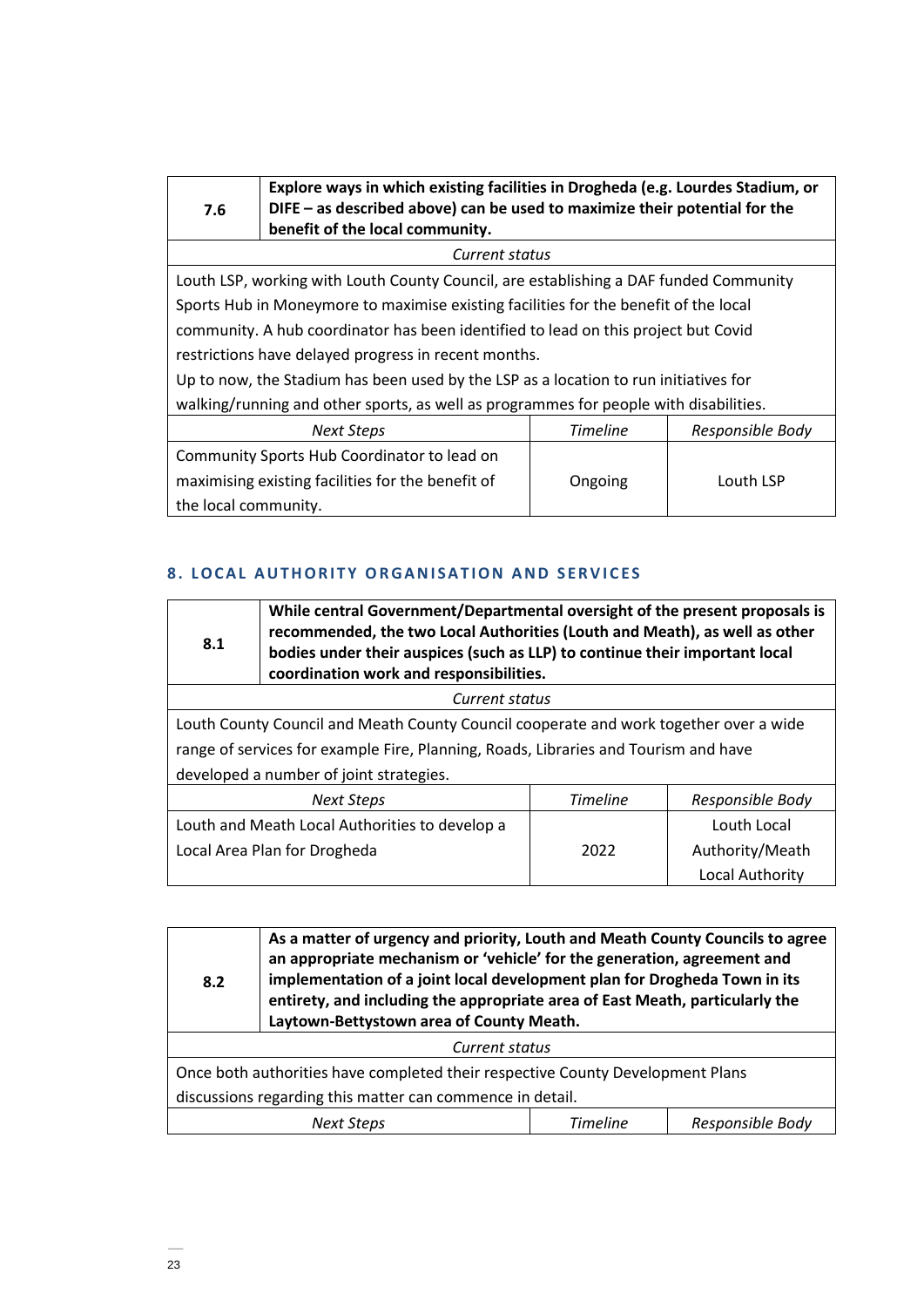| 7.6                                                                                   | Explore ways in which existing facilities in Drogheda (e.g. Lourdes Stadium, or<br>DIFE – as described above) can be used to maximize their potential for the<br>benefit of the local community. |         |           |  |
|---------------------------------------------------------------------------------------|--------------------------------------------------------------------------------------------------------------------------------------------------------------------------------------------------|---------|-----------|--|
|                                                                                       | Current status                                                                                                                                                                                   |         |           |  |
|                                                                                       | Louth LSP, working with Louth County Council, are establishing a DAF funded Community                                                                                                            |         |           |  |
|                                                                                       | Sports Hub in Moneymore to maximise existing facilities for the benefit of the local                                                                                                             |         |           |  |
|                                                                                       | community. A hub coordinator has been identified to lead on this project but Covid                                                                                                               |         |           |  |
|                                                                                       | restrictions have delayed progress in recent months.                                                                                                                                             |         |           |  |
| Up to now, the Stadium has been used by the LSP as a location to run initiatives for  |                                                                                                                                                                                                  |         |           |  |
| walking/running and other sports, as well as programmes for people with disabilities. |                                                                                                                                                                                                  |         |           |  |
| <b>Timeline</b><br>Responsible Body<br><b>Next Steps</b>                              |                                                                                                                                                                                                  |         |           |  |
|                                                                                       | Community Sports Hub Coordinator to lead on                                                                                                                                                      |         |           |  |
|                                                                                       | maximising existing facilities for the benefit of                                                                                                                                                | Ongoing | Louth LSP |  |
| the local community.                                                                  |                                                                                                                                                                                                  |         |           |  |

# **8. LOCAL AUTHORITY ORGANISATION AND SERVICES**

| 8.1                                                                                   | While central Government/Departmental oversight of the present proposals is<br>recommended, the two Local Authorities (Louth and Meath), as well as other<br>bodies under their auspices (such as LLP) to continue their important local<br>coordination work and responsibilities. |  |                 |  |  |
|---------------------------------------------------------------------------------------|-------------------------------------------------------------------------------------------------------------------------------------------------------------------------------------------------------------------------------------------------------------------------------------|--|-----------------|--|--|
|                                                                                       | Current status                                                                                                                                                                                                                                                                      |  |                 |  |  |
| Louth County Council and Meath County Council cooperate and work together over a wide |                                                                                                                                                                                                                                                                                     |  |                 |  |  |
| range of services for example Fire, Planning, Roads, Libraries and Tourism and have   |                                                                                                                                                                                                                                                                                     |  |                 |  |  |
| developed a number of joint strategies.                                               |                                                                                                                                                                                                                                                                                     |  |                 |  |  |
|                                                                                       | <b>Timeline</b><br>Responsible Body<br><b>Next Steps</b>                                                                                                                                                                                                                            |  |                 |  |  |
| Louth and Meath Local Authorities to develop a<br>Louth Local                         |                                                                                                                                                                                                                                                                                     |  |                 |  |  |
| Local Area Plan for Drogheda<br>2022                                                  |                                                                                                                                                                                                                                                                                     |  | Authority/Meath |  |  |
|                                                                                       |                                                                                                                                                                                                                                                                                     |  | Local Authority |  |  |

| 8.2                                                                            | As a matter of urgency and priority, Louth and Meath County Councils to agree<br>an appropriate mechanism or 'vehicle' for the generation, agreement and<br>implementation of a joint local development plan for Drogheda Town in its<br>entirety, and including the appropriate area of East Meath, particularly the<br>Laytown-Bettystown area of County Meath. |  |  |  |
|--------------------------------------------------------------------------------|-------------------------------------------------------------------------------------------------------------------------------------------------------------------------------------------------------------------------------------------------------------------------------------------------------------------------------------------------------------------|--|--|--|
| Current status                                                                 |                                                                                                                                                                                                                                                                                                                                                                   |  |  |  |
| Once both authorities have completed their respective County Development Plans |                                                                                                                                                                                                                                                                                                                                                                   |  |  |  |
| discussions regarding this matter can commence in detail.                      |                                                                                                                                                                                                                                                                                                                                                                   |  |  |  |
| Timeline<br>Responsible Body<br>Next Steps                                     |                                                                                                                                                                                                                                                                                                                                                                   |  |  |  |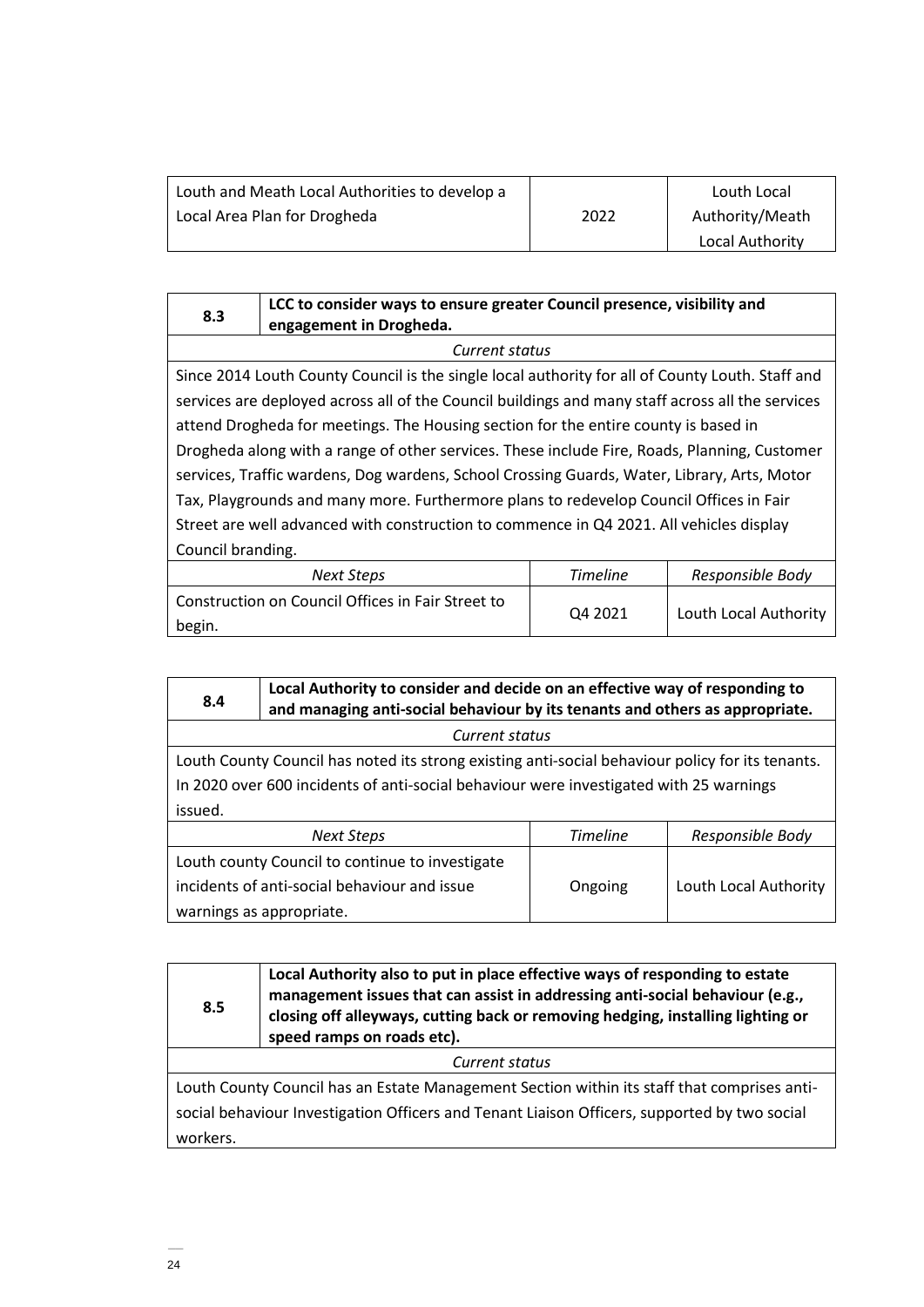| Louth and Meath Local Authorities to develop a |      | Louth Local     |
|------------------------------------------------|------|-----------------|
| Local Area Plan for Drogheda                   | 2022 | Authority/Meath |
|                                                |      | Local Authority |

|     | LCC to consider ways to ensure greater Council presence, visibility and |
|-----|-------------------------------------------------------------------------|
| 8.3 | engagement in Drogheda.                                                 |

*Current status* Since 2014 Louth County Council is the single local authority for all of County Louth. Staff and services are deployed across all of the Council buildings and many staff across all the services attend Drogheda for meetings. The Housing section for the entire county is based in Drogheda along with a range of other services. These include Fire, Roads, Planning, Customer services, Traffic wardens, Dog wardens, School Crossing Guards, Water, Library, Arts, Motor Tax, Playgrounds and many more. Furthermore plans to redevelop Council Offices in Fair Street are well advanced with construction to commence in Q4 2021. All vehicles display Council branding.

| Next Steps                                                  | <b>Timeline</b>     | Responsible Body      |
|-------------------------------------------------------------|---------------------|-----------------------|
| Construction on Council Offices in Fair Street to<br>begin. | O <sub>4</sub> 2021 | Louth Local Authority |

| 8.4                                                                                                                                                                                        | Local Authority to consider and decide on an effective way of responding to<br>and managing anti-social behaviour by its tenants and others as appropriate. |  |  |  |
|--------------------------------------------------------------------------------------------------------------------------------------------------------------------------------------------|-------------------------------------------------------------------------------------------------------------------------------------------------------------|--|--|--|
| Current status                                                                                                                                                                             |                                                                                                                                                             |  |  |  |
| Louth County Council has noted its strong existing anti-social behaviour policy for its tenants.<br>In 2020 over 600 incidents of anti-social behaviour were investigated with 25 warnings |                                                                                                                                                             |  |  |  |
| issued.                                                                                                                                                                                    |                                                                                                                                                             |  |  |  |
| Timeline<br>Responsible Body<br><b>Next Steps</b>                                                                                                                                          |                                                                                                                                                             |  |  |  |
| Louth county Council to continue to investigate                                                                                                                                            |                                                                                                                                                             |  |  |  |
| incidents of anti-social behaviour and issue<br>Louth Local Authority<br>Ongoing                                                                                                           |                                                                                                                                                             |  |  |  |
| warnings as appropriate.                                                                                                                                                                   |                                                                                                                                                             |  |  |  |

| Local Authority also to put in place effective ways of responding to estate<br>management issues that can assist in addressing anti-social behaviour (e.g.,<br>8.5<br>closing off alleyways, cutting back or removing hedging, installing lighting or<br>speed ramps on roads etc). |  |  |
|-------------------------------------------------------------------------------------------------------------------------------------------------------------------------------------------------------------------------------------------------------------------------------------|--|--|
| Current status                                                                                                                                                                                                                                                                      |  |  |
| Louth County Council has an Estate Management Section within its staff that comprises anti-                                                                                                                                                                                         |  |  |
| social behaviour Investigation Officers and Tenant Liaison Officers, supported by two social                                                                                                                                                                                        |  |  |
| workers.                                                                                                                                                                                                                                                                            |  |  |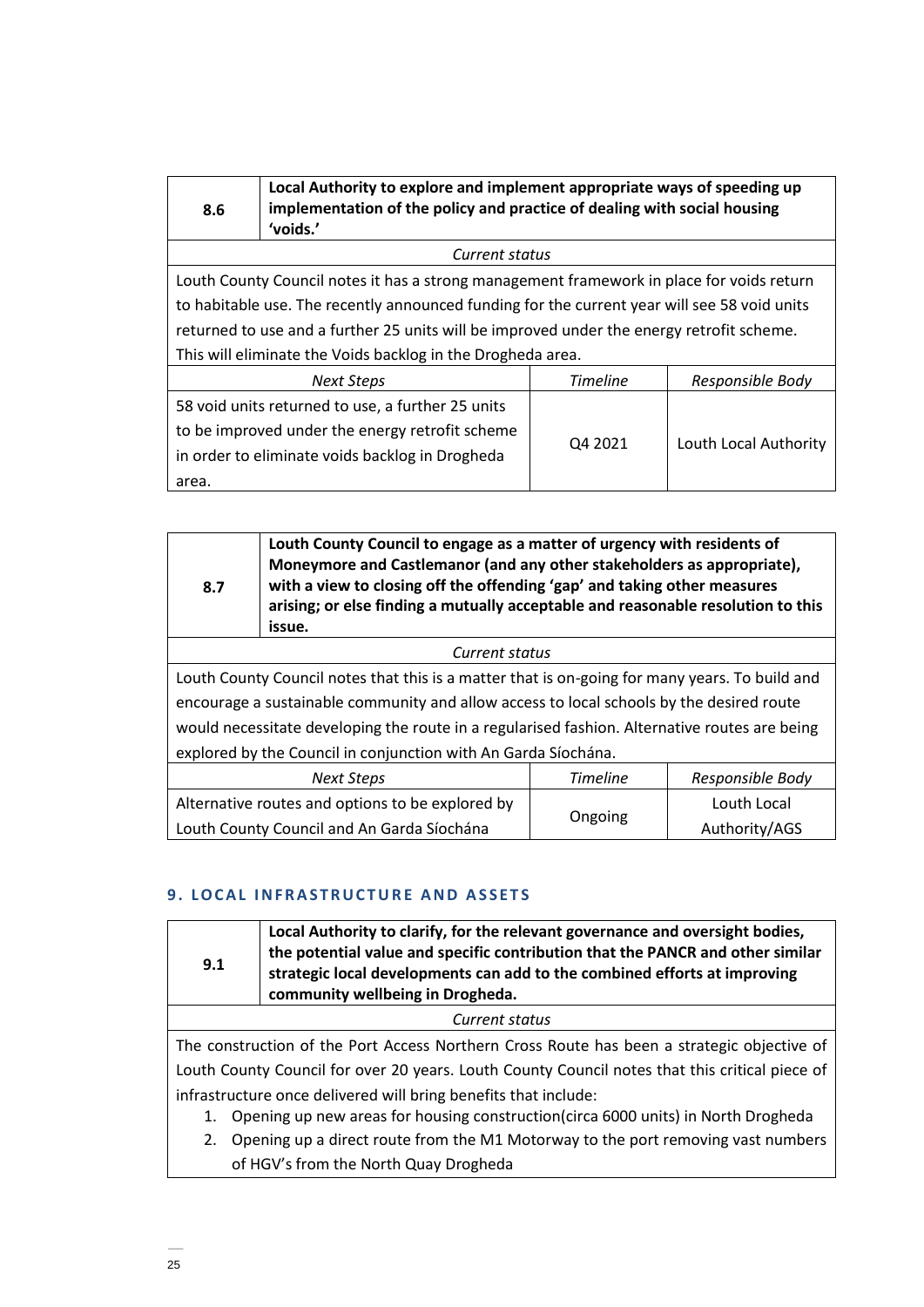| 8.6                                                         | Local Authority to explore and implement appropriate ways of speeding up<br>implementation of the policy and practice of dealing with social housing<br>'voids.' |                       |  |
|-------------------------------------------------------------|------------------------------------------------------------------------------------------------------------------------------------------------------------------|-----------------------|--|
|                                                             | Current status                                                                                                                                                   |                       |  |
|                                                             | Louth County Council notes it has a strong management framework in place for voids return                                                                        |                       |  |
|                                                             | to habitable use. The recently announced funding for the current year will see 58 void units                                                                     |                       |  |
|                                                             | returned to use and a further 25 units will be improved under the energy retrofit scheme.                                                                        |                       |  |
| This will eliminate the Voids backlog in the Drogheda area. |                                                                                                                                                                  |                       |  |
|                                                             | <b>Timeline</b><br>Responsible Body<br><b>Next Steps</b>                                                                                                         |                       |  |
| 58 void units returned to use, a further 25 units           |                                                                                                                                                                  |                       |  |
| to be improved under the energy retrofit scheme<br>Q4 2021  |                                                                                                                                                                  | Louth Local Authority |  |
|                                                             | in order to eliminate voids backlog in Drogheda                                                                                                                  |                       |  |
| area.                                                       |                                                                                                                                                                  |                       |  |

| 8.7                                                                                            | Louth County Council to engage as a matter of urgency with residents of<br>Moneymore and Castlemanor (and any other stakeholders as appropriate),<br>with a view to closing off the offending 'gap' and taking other measures<br>arising; or else finding a mutually acceptable and reasonable resolution to this<br>issue. |  |  |
|------------------------------------------------------------------------------------------------|-----------------------------------------------------------------------------------------------------------------------------------------------------------------------------------------------------------------------------------------------------------------------------------------------------------------------------|--|--|
|                                                                                                | Current status                                                                                                                                                                                                                                                                                                              |  |  |
| Louth County Council notes that this is a matter that is on-going for many years. To build and |                                                                                                                                                                                                                                                                                                                             |  |  |
| encourage a sustainable community and allow access to local schools by the desired route       |                                                                                                                                                                                                                                                                                                                             |  |  |
| would necessitate developing the route in a regularised fashion. Alternative routes are being  |                                                                                                                                                                                                                                                                                                                             |  |  |
| explored by the Council in conjunction with An Garda Síochána.                                 |                                                                                                                                                                                                                                                                                                                             |  |  |
| <b>Timeline</b><br>Responsible Body<br><b>Next Steps</b>                                       |                                                                                                                                                                                                                                                                                                                             |  |  |
|                                                                                                | Alternative routes and options to be explored by<br>Louth Local                                                                                                                                                                                                                                                             |  |  |
| Ongoing<br>Louth County Council and An Garda Síochána<br>Authority/AGS                         |                                                                                                                                                                                                                                                                                                                             |  |  |

# **9. LOCAL INFRASTRUCTURE AND ASSETS**

| Local Authority to clarify, for the relevant governance and oversight bodies,<br>the potential value and specific contribution that the PANCR and other similar<br>9.1<br>strategic local developments can add to the combined efforts at improving<br>community wellbeing in Drogheda. |                                                                                                |  |  |
|-----------------------------------------------------------------------------------------------------------------------------------------------------------------------------------------------------------------------------------------------------------------------------------------|------------------------------------------------------------------------------------------------|--|--|
|                                                                                                                                                                                                                                                                                         | Current status                                                                                 |  |  |
|                                                                                                                                                                                                                                                                                         | The construction of the Port Access Northern Cross Route has been a strategic objective of     |  |  |
|                                                                                                                                                                                                                                                                                         | Louth County Council for over 20 years. Louth County Council notes that this critical piece of |  |  |
| infrastructure once delivered will bring benefits that include:                                                                                                                                                                                                                         |                                                                                                |  |  |
|                                                                                                                                                                                                                                                                                         | Opening up new areas for housing construction (circa 6000 units) in North Drogheda<br>1.       |  |  |
| 2.                                                                                                                                                                                                                                                                                      | Opening up a direct route from the M1 Motorway to the port removing vast numbers               |  |  |
|                                                                                                                                                                                                                                                                                         | of HGV's from the North Quay Drogheda                                                          |  |  |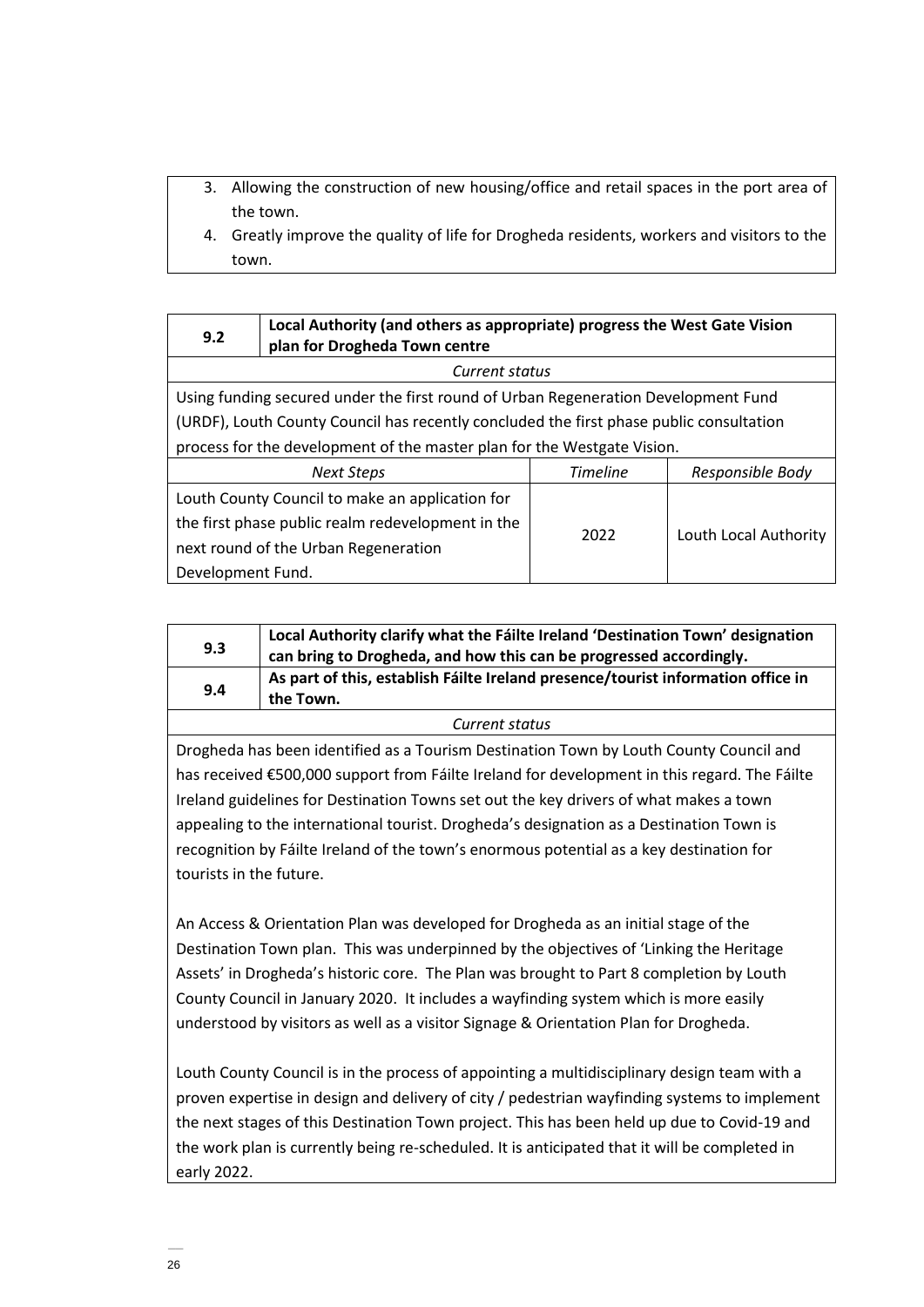- 3. Allowing the construction of new housing/office and retail spaces in the port area of the town.
- 4. Greatly improve the quality of life for Drogheda residents, workers and visitors to the town.

| 9.2                                                                     | Local Authority (and others as appropriate) progress the West Gate Vision<br>plan for Drogheda Town centre |      |                       |
|-------------------------------------------------------------------------|------------------------------------------------------------------------------------------------------------|------|-----------------------|
|                                                                         | Current status                                                                                             |      |                       |
|                                                                         | Using funding secured under the first round of Urban Regeneration Development Fund                         |      |                       |
|                                                                         | (URDF), Louth County Council has recently concluded the first phase public consultation                    |      |                       |
| process for the development of the master plan for the Westgate Vision. |                                                                                                            |      |                       |
|                                                                         | <b>Timeline</b><br>Responsible Body<br><b>Next Steps</b>                                                   |      |                       |
|                                                                         | Louth County Council to make an application for                                                            |      |                       |
|                                                                         | the first phase public realm redevelopment in the                                                          | 2022 |                       |
|                                                                         | next round of the Urban Regeneration                                                                       |      | Louth Local Authority |
| Development Fund.                                                       |                                                                                                            |      |                       |

| 9.3 | Local Authority clarify what the Fáilte Ireland 'Destination Town' designation<br>can bring to Drogheda, and how this can be progressed accordingly. |
|-----|------------------------------------------------------------------------------------------------------------------------------------------------------|
| 9.4 | As part of this, establish Fáilte Ireland presence/tourist information office in<br>the Town.                                                        |
|     |                                                                                                                                                      |

## *Current status*

Drogheda has been identified as a Tourism Destination Town by Louth County Council and has received €500,000 support from Fáilte Ireland for development in this regard. The Fáilte Ireland guidelines for Destination Towns set out the key drivers of what makes a town appealing to the international tourist. Drogheda's designation as a Destination Town is recognition by Fáilte Ireland of the town's enormous potential as a key destination for tourists in the future.

An Access & Orientation Plan was developed for Drogheda as an initial stage of the Destination Town plan. This was underpinned by the objectives of 'Linking the Heritage Assets' in Drogheda's historic core. The Plan was brought to Part 8 completion by Louth County Council in January 2020. It includes a wayfinding system which is more easily understood by visitors as well as a visitor Signage & Orientation Plan for Drogheda.

Louth County Council is in the process of appointing a multidisciplinary design team with a proven expertise in design and delivery of city / pedestrian wayfinding systems to implement the next stages of this Destination Town project. This has been held up due to Covid-19 and the work plan is currently being re-scheduled. It is anticipated that it will be completed in early 2022.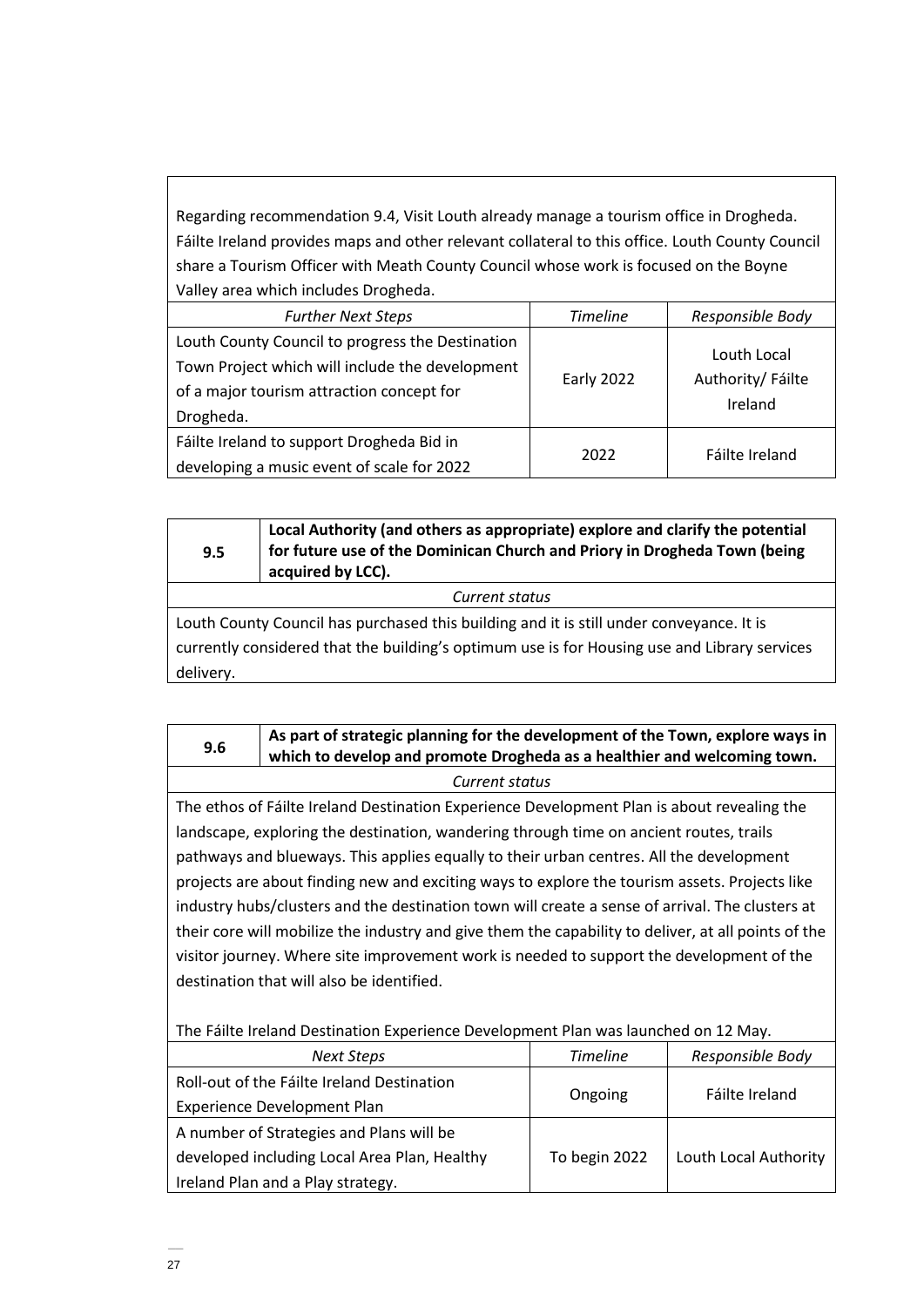Regarding recommendation 9.4, Visit Louth already manage a tourism office in Drogheda. Fáilte Ireland provides maps and other relevant collateral to this office. Louth County Council share a Tourism Officer with Meath County Council whose work is focused on the Boyne Valley area which includes Drogheda.

| <b>Further Next Steps</b>                                                                                                                                     | <b>Timeline</b> | Responsible Body                            |
|---------------------------------------------------------------------------------------------------------------------------------------------------------------|-----------------|---------------------------------------------|
| Louth County Council to progress the Destination<br>Town Project which will include the development<br>of a major tourism attraction concept for<br>Drogheda. | Early 2022      | Louth Local<br>Authority/ Fáilte<br>Ireland |
| Fáilte Ireland to support Drogheda Bid in<br>developing a music event of scale for 2022                                                                       | 2022            | Fáilte Ireland                              |

| 9.5                                                                                          | Local Authority (and others as appropriate) explore and clarify the potential<br>for future use of the Dominican Church and Priory in Drogheda Town (being<br>acquired by LCC). |  |
|----------------------------------------------------------------------------------------------|---------------------------------------------------------------------------------------------------------------------------------------------------------------------------------|--|
| Current status                                                                               |                                                                                                                                                                                 |  |
| Louth County Council has purchased this building and it is still under conveyance. It is     |                                                                                                                                                                                 |  |
| currently considered that the building's optimum use is for Housing use and Library services |                                                                                                                                                                                 |  |
| delivery.                                                                                    |                                                                                                                                                                                 |  |

| 9.6            | As part of strategic planning for the development of the Town, explore ways in<br>which to develop and promote Drogheda as a healthier and welcoming town. |  |
|----------------|------------------------------------------------------------------------------------------------------------------------------------------------------------|--|
| Current status |                                                                                                                                                            |  |

The ethos of Fáilte Ireland Destination Experience Development Plan is about revealing the landscape, exploring the destination, wandering through time on ancient routes, trails pathways and blueways. This applies equally to their urban centres. All the development projects are about finding new and exciting ways to explore the tourism assets. Projects like industry hubs/clusters and the destination town will create a sense of arrival. The clusters at their core will mobilize the industry and give them the capability to deliver, at all points of the visitor journey. Where site improvement work is needed to support the development of the destination that will also be identified.

The Fáilte Ireland Destination Experience Development Plan was launched on 12 May.

| Next Steps                                   | <b>Timeline</b> | Responsible Body      |
|----------------------------------------------|-----------------|-----------------------|
| Roll-out of the Fáilte Ireland Destination   |                 |                       |
| <b>Experience Development Plan</b>           | Ongoing         | Fáilte Ireland        |
| A number of Strategies and Plans will be     |                 |                       |
| developed including Local Area Plan, Healthy | To begin 2022   | Louth Local Authority |
| Ireland Plan and a Play strategy.            |                 |                       |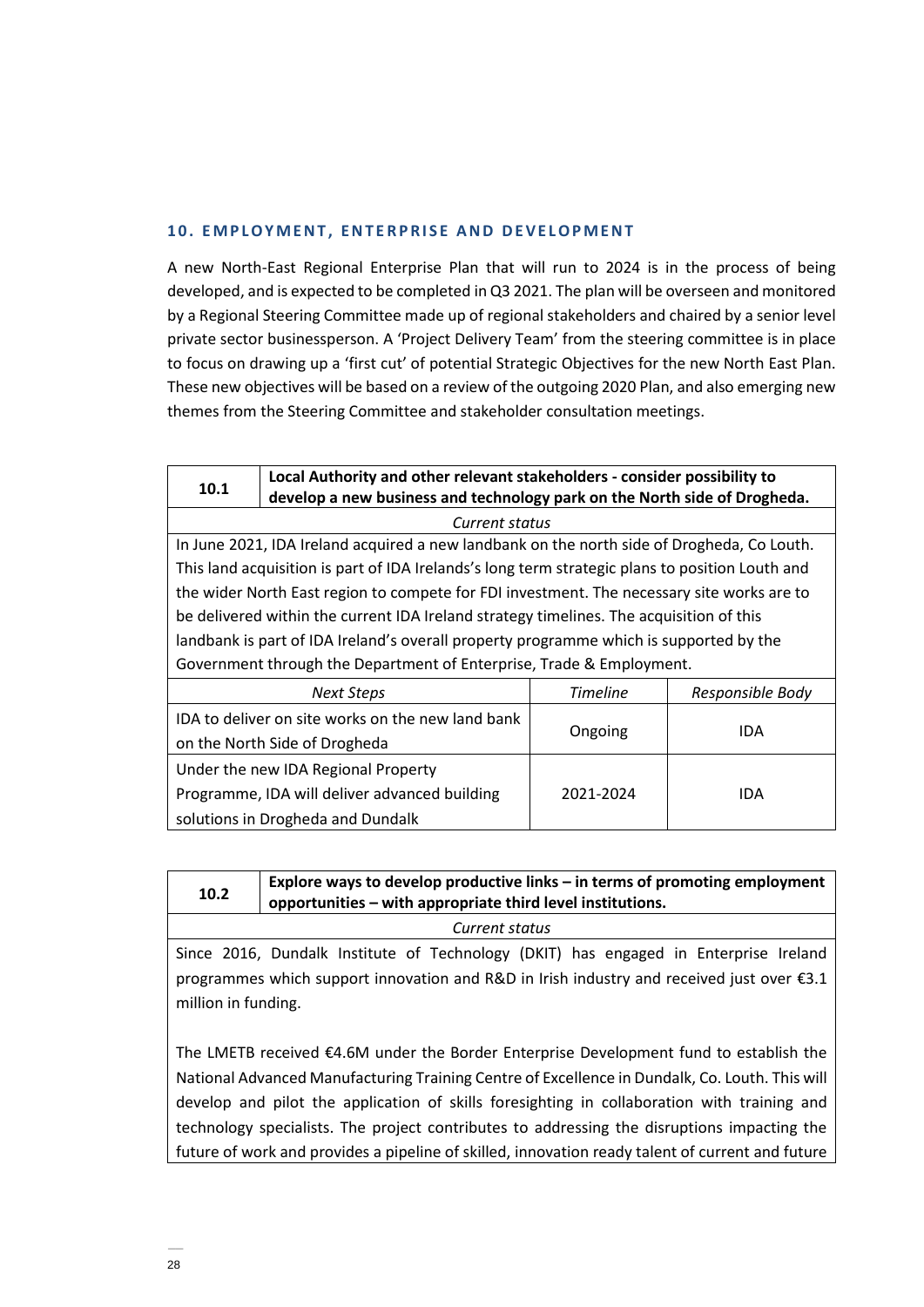## **10. EMPLOYMENT. ENTERPRISE AND DEVELOPMENT**

A new North-East Regional Enterprise Plan that will run to 2024 is in the process of being developed, and is expected to be completed in Q3 2021. The plan will be overseen and monitored by a Regional Steering Committee made up of regional stakeholders and chaired by a senior level private sector businessperson. A 'Project Delivery Team' from the steering committee is in place to focus on drawing up a 'first cut' of potential Strategic Objectives for the new North East Plan. These new objectives will be based on a review of the outgoing 2020 Plan, and also emerging new themes from the Steering Committee and stakeholder consultation meetings.

| 10.1                                                                 | Local Authority and other relevant stakeholders - consider possibility to                       |           |            |
|----------------------------------------------------------------------|-------------------------------------------------------------------------------------------------|-----------|------------|
|                                                                      | develop a new business and technology park on the North side of Drogheda.                       |           |            |
|                                                                      | Current status                                                                                  |           |            |
|                                                                      | In June 2021, IDA Ireland acquired a new landbank on the north side of Drogheda, Co Louth.      |           |            |
|                                                                      | This land acquisition is part of IDA Irelands's long term strategic plans to position Louth and |           |            |
|                                                                      | the wider North East region to compete for FDI investment. The necessary site works are to      |           |            |
|                                                                      | be delivered within the current IDA Ireland strategy timelines. The acquisition of this         |           |            |
|                                                                      | landbank is part of IDA Ireland's overall property programme which is supported by the          |           |            |
| Government through the Department of Enterprise, Trade & Employment. |                                                                                                 |           |            |
|                                                                      | <b>Timeline</b><br><b>Next Steps</b><br>Responsible Body                                        |           |            |
|                                                                      | IDA to deliver on site works on the new land bank                                               |           |            |
|                                                                      | on the North Side of Drogheda                                                                   | Ongoing   | <b>IDA</b> |
| Under the new IDA Regional Property                                  |                                                                                                 |           |            |
|                                                                      | Programme, IDA will deliver advanced building                                                   | 2021-2024 | <b>IDA</b> |
|                                                                      | solutions in Drogheda and Dundalk                                                               |           |            |

| 10.2                                                                                                                                                                                                                                                                                                                                                                                   | Explore ways to develop productive links - in terms of promoting employment<br>opportunities – with appropriate third level institutions. |
|----------------------------------------------------------------------------------------------------------------------------------------------------------------------------------------------------------------------------------------------------------------------------------------------------------------------------------------------------------------------------------------|-------------------------------------------------------------------------------------------------------------------------------------------|
|                                                                                                                                                                                                                                                                                                                                                                                        | Current status                                                                                                                            |
| Since 2016, Dundalk Institute of Technology (DKIT) has engaged in Enterprise Ireland<br>programmes which support innovation and R&D in Irish industry and received just over €3.1<br>million in funding.                                                                                                                                                                               |                                                                                                                                           |
| The LMETB received €4.6M under the Border Enterprise Development fund to establish the<br>National Advanced Manufacturing Training Centre of Excellence in Dundalk, Co. Louth. This will<br>develop and pilot the application of skills foresighting in collaboration with training and<br>technology specialists. The project contributes to addressing the disruptions impacting the |                                                                                                                                           |

 $\overline{\Gamma}$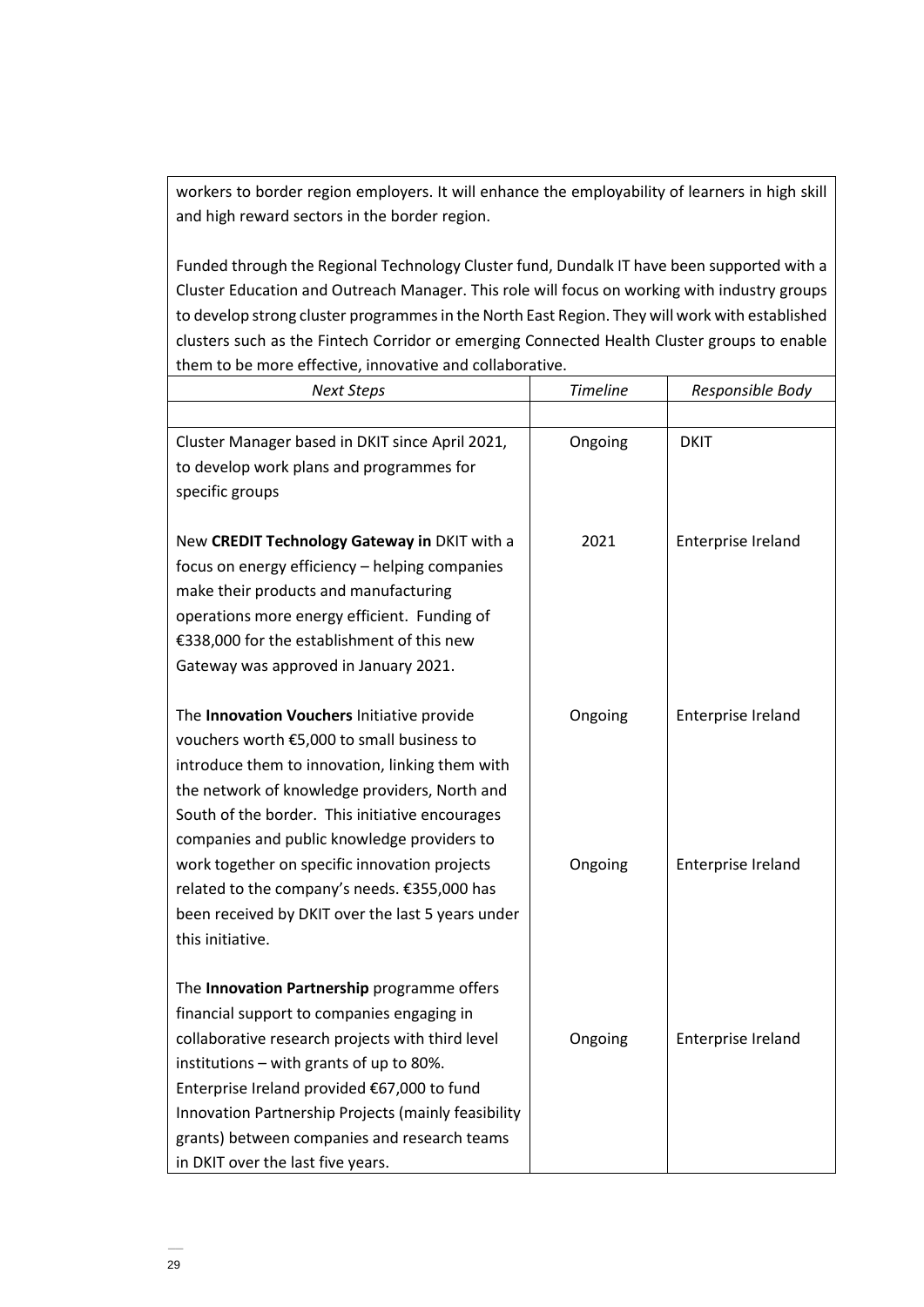workers to border region employers. It will enhance the employability of learners in high skill and high reward sectors in the border region.

Funded through the Regional Technology Cluster fund, Dundalk IT have been supported with a Cluster Education and Outreach Manager. This role will focus on working with industry groups to develop strong cluster programmes in the North East Region. They will work with established clusters such as the Fintech Corridor or emerging Connected Health Cluster groups to enable them to be more effective, innovative and collaborative.

| <b>Next Steps</b>                                   | <b>Timeline</b> | Responsible Body   |
|-----------------------------------------------------|-----------------|--------------------|
|                                                     |                 |                    |
| Cluster Manager based in DKIT since April 2021,     | Ongoing         | <b>DKIT</b>        |
| to develop work plans and programmes for            |                 |                    |
| specific groups                                     |                 |                    |
|                                                     |                 |                    |
| New CREDIT Technology Gateway in DKIT with a        | 2021            | Enterprise Ireland |
| focus on energy efficiency - helping companies      |                 |                    |
| make their products and manufacturing               |                 |                    |
| operations more energy efficient. Funding of        |                 |                    |
| €338,000 for the establishment of this new          |                 |                    |
| Gateway was approved in January 2021.               |                 |                    |
|                                                     |                 |                    |
| The Innovation Vouchers Initiative provide          | Ongoing         | Enterprise Ireland |
| vouchers worth €5,000 to small business to          |                 |                    |
| introduce them to innovation, linking them with     |                 |                    |
| the network of knowledge providers, North and       |                 |                    |
| South of the border. This initiative encourages     |                 |                    |
| companies and public knowledge providers to         |                 |                    |
| work together on specific innovation projects       | Ongoing         | Enterprise Ireland |
| related to the company's needs. €355,000 has        |                 |                    |
| been received by DKIT over the last 5 years under   |                 |                    |
| this initiative.                                    |                 |                    |
|                                                     |                 |                    |
| The Innovation Partnership programme offers         |                 |                    |
| financial support to companies engaging in          |                 |                    |
| collaborative research projects with third level    | Ongoing         | Enterprise Ireland |
| institutions - with grants of up to 80%.            |                 |                    |
| Enterprise Ireland provided €67,000 to fund         |                 |                    |
| Innovation Partnership Projects (mainly feasibility |                 |                    |
| grants) between companies and research teams        |                 |                    |
| in DKIT over the last five years.                   |                 |                    |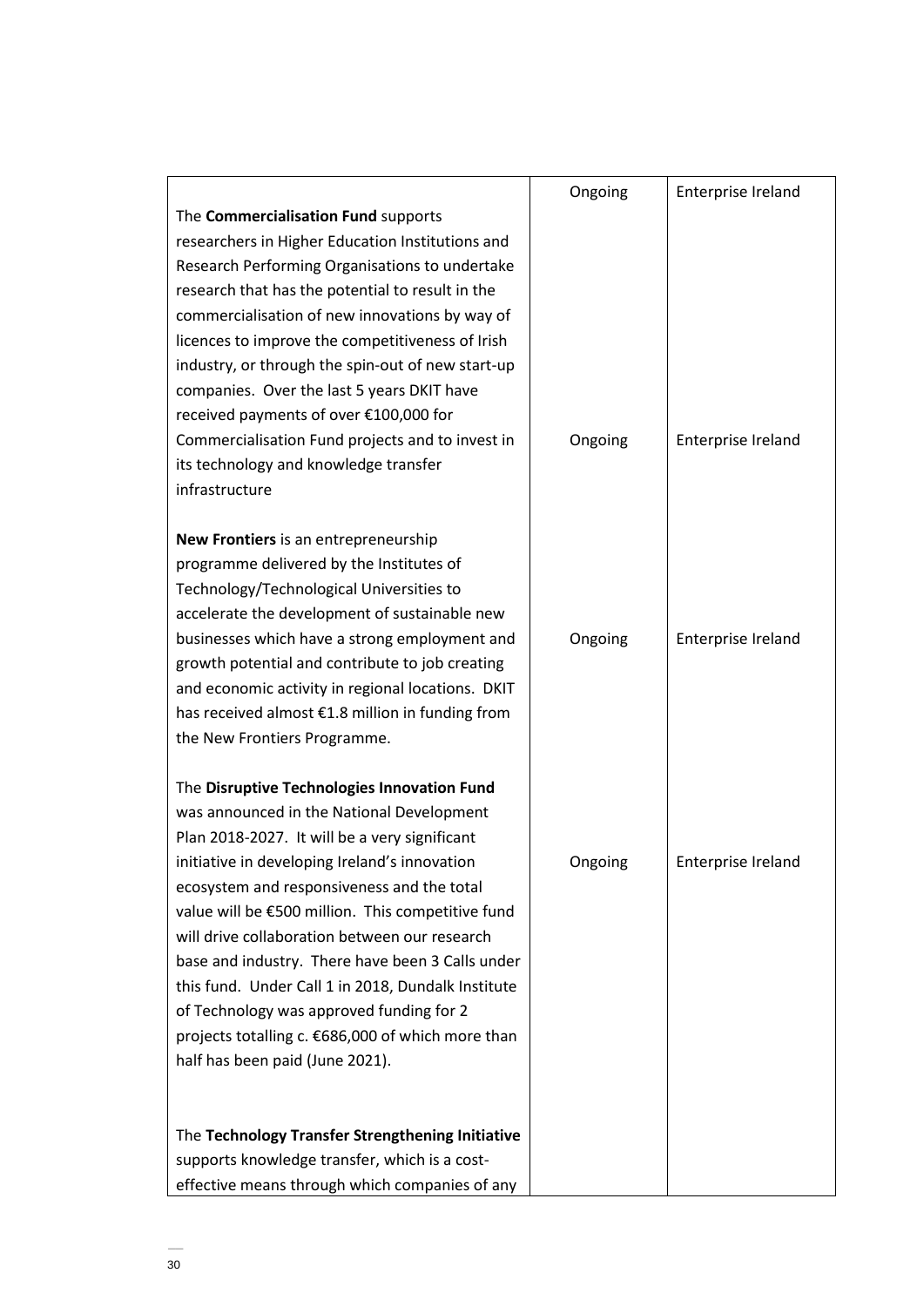|                                                    | Ongoing | Enterprise Ireland |
|----------------------------------------------------|---------|--------------------|
| The Commercialisation Fund supports                |         |                    |
| researchers in Higher Education Institutions and   |         |                    |
| Research Performing Organisations to undertake     |         |                    |
| research that has the potential to result in the   |         |                    |
| commercialisation of new innovations by way of     |         |                    |
| licences to improve the competitiveness of Irish   |         |                    |
| industry, or through the spin-out of new start-up  |         |                    |
| companies. Over the last 5 years DKIT have         |         |                    |
| received payments of over €100,000 for             |         |                    |
| Commercialisation Fund projects and to invest in   | Ongoing | Enterprise Ireland |
| its technology and knowledge transfer              |         |                    |
| infrastructure                                     |         |                    |
|                                                    |         |                    |
| New Frontiers is an entrepreneurship               |         |                    |
| programme delivered by the Institutes of           |         |                    |
| Technology/Technological Universities to           |         |                    |
| accelerate the development of sustainable new      |         |                    |
| businesses which have a strong employment and      | Ongoing | Enterprise Ireland |
| growth potential and contribute to job creating    |         |                    |
| and economic activity in regional locations. DKIT  |         |                    |
| has received almost €1.8 million in funding from   |         |                    |
| the New Frontiers Programme.                       |         |                    |
|                                                    |         |                    |
| The Disruptive Technologies Innovation Fund        |         |                    |
| was announced in the National Development          |         |                    |
| Plan 2018-2027. It will be a very significant      |         |                    |
| initiative in developing Ireland's innovation      | Ongoing | Enterprise Ireland |
| ecosystem and responsiveness and the total         |         |                    |
| value will be €500 million. This competitive fund  |         |                    |
| will drive collaboration between our research      |         |                    |
| base and industry. There have been 3 Calls under   |         |                    |
| this fund. Under Call 1 in 2018, Dundalk Institute |         |                    |
| of Technology was approved funding for 2           |         |                    |
| projects totalling c. €686,000 of which more than  |         |                    |
| half has been paid (June 2021).                    |         |                    |
|                                                    |         |                    |
|                                                    |         |                    |
| The Technology Transfer Strengthening Initiative   |         |                    |
| supports knowledge transfer, which is a cost-      |         |                    |
| effective means through which companies of any     |         |                    |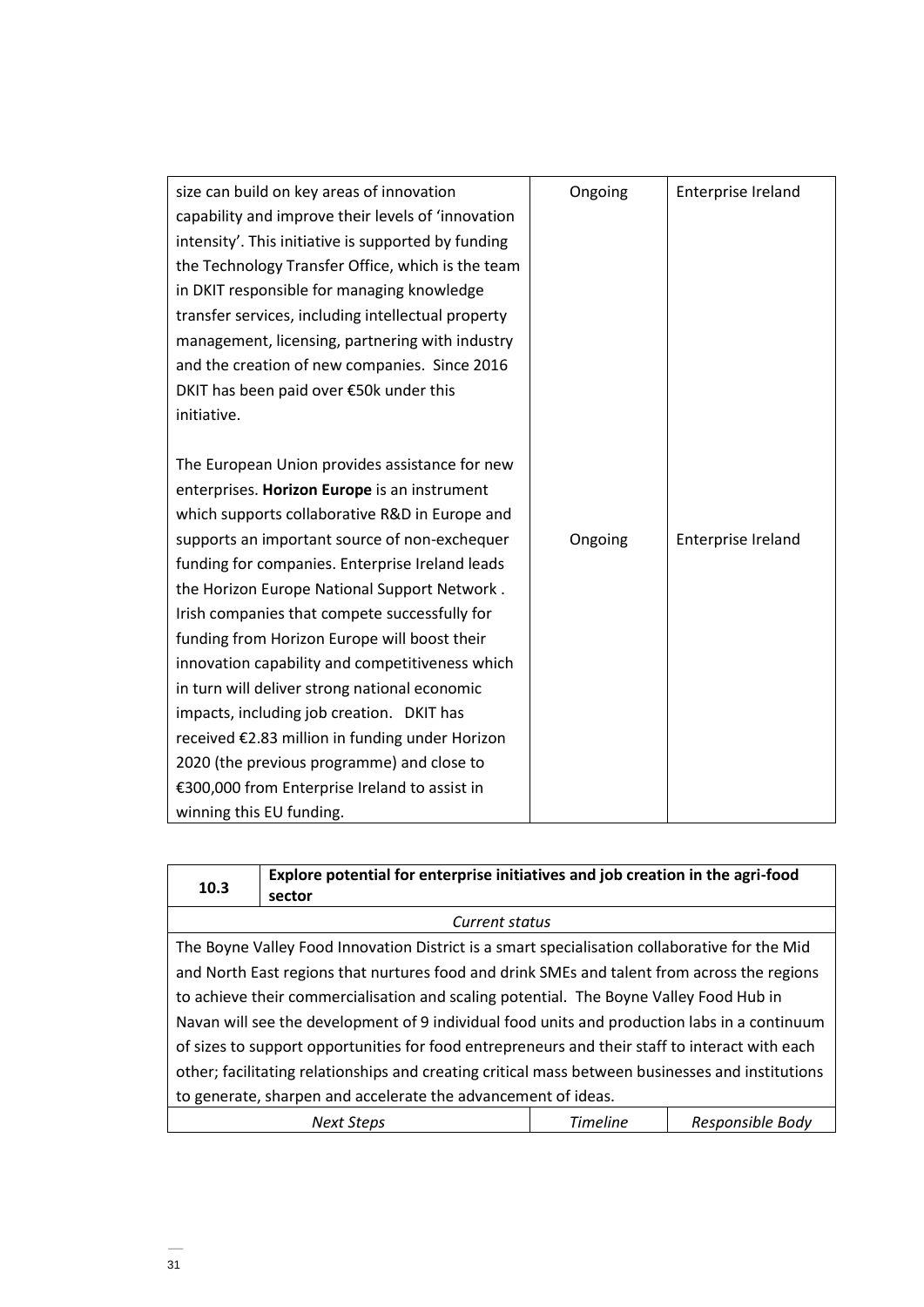| size can build on key areas of innovation           | Ongoing | Enterprise Ireland |
|-----------------------------------------------------|---------|--------------------|
| capability and improve their levels of 'innovation  |         |                    |
| intensity'. This initiative is supported by funding |         |                    |
| the Technology Transfer Office, which is the team   |         |                    |
| in DKIT responsible for managing knowledge          |         |                    |
| transfer services, including intellectual property  |         |                    |
| management, licensing, partnering with industry     |         |                    |
| and the creation of new companies. Since 2016       |         |                    |
| DKIT has been paid over €50k under this             |         |                    |
| initiative.                                         |         |                    |
|                                                     |         |                    |
| The European Union provides assistance for new      |         |                    |
| enterprises. Horizon Europe is an instrument        |         |                    |
| which supports collaborative R&D in Europe and      |         |                    |
| supports an important source of non-exchequer       | Ongoing | Enterprise Ireland |
| funding for companies. Enterprise Ireland leads     |         |                    |
| the Horizon Europe National Support Network.        |         |                    |
| Irish companies that compete successfully for       |         |                    |
| funding from Horizon Europe will boost their        |         |                    |
| innovation capability and competitiveness which     |         |                    |
| in turn will deliver strong national economic       |         |                    |
| impacts, including job creation. DKIT has           |         |                    |
| received €2.83 million in funding under Horizon     |         |                    |
| 2020 (the previous programme) and close to          |         |                    |
| €300,000 from Enterprise Ireland to assist in       |         |                    |
| winning this EU funding.                            |         |                    |

| 10.3                                                                                             | Explore potential for enterprise initiatives and job creation in the agri-food<br>sector |  |  |
|--------------------------------------------------------------------------------------------------|------------------------------------------------------------------------------------------|--|--|
|                                                                                                  | Current status                                                                           |  |  |
| The Boyne Valley Food Innovation District is a smart specialisation collaborative for the Mid    |                                                                                          |  |  |
| and North East regions that nurtures food and drink SMEs and talent from across the regions      |                                                                                          |  |  |
| to achieve their commercialisation and scaling potential. The Boyne Valley Food Hub in           |                                                                                          |  |  |
| Navan will see the development of 9 individual food units and production labs in a continuum     |                                                                                          |  |  |
| of sizes to support opportunities for food entrepreneurs and their staff to interact with each   |                                                                                          |  |  |
| other; facilitating relationships and creating critical mass between businesses and institutions |                                                                                          |  |  |
| to generate, sharpen and accelerate the advancement of ideas.                                    |                                                                                          |  |  |
| Responsible Body<br><b>Timeline</b><br><b>Next Steps</b>                                         |                                                                                          |  |  |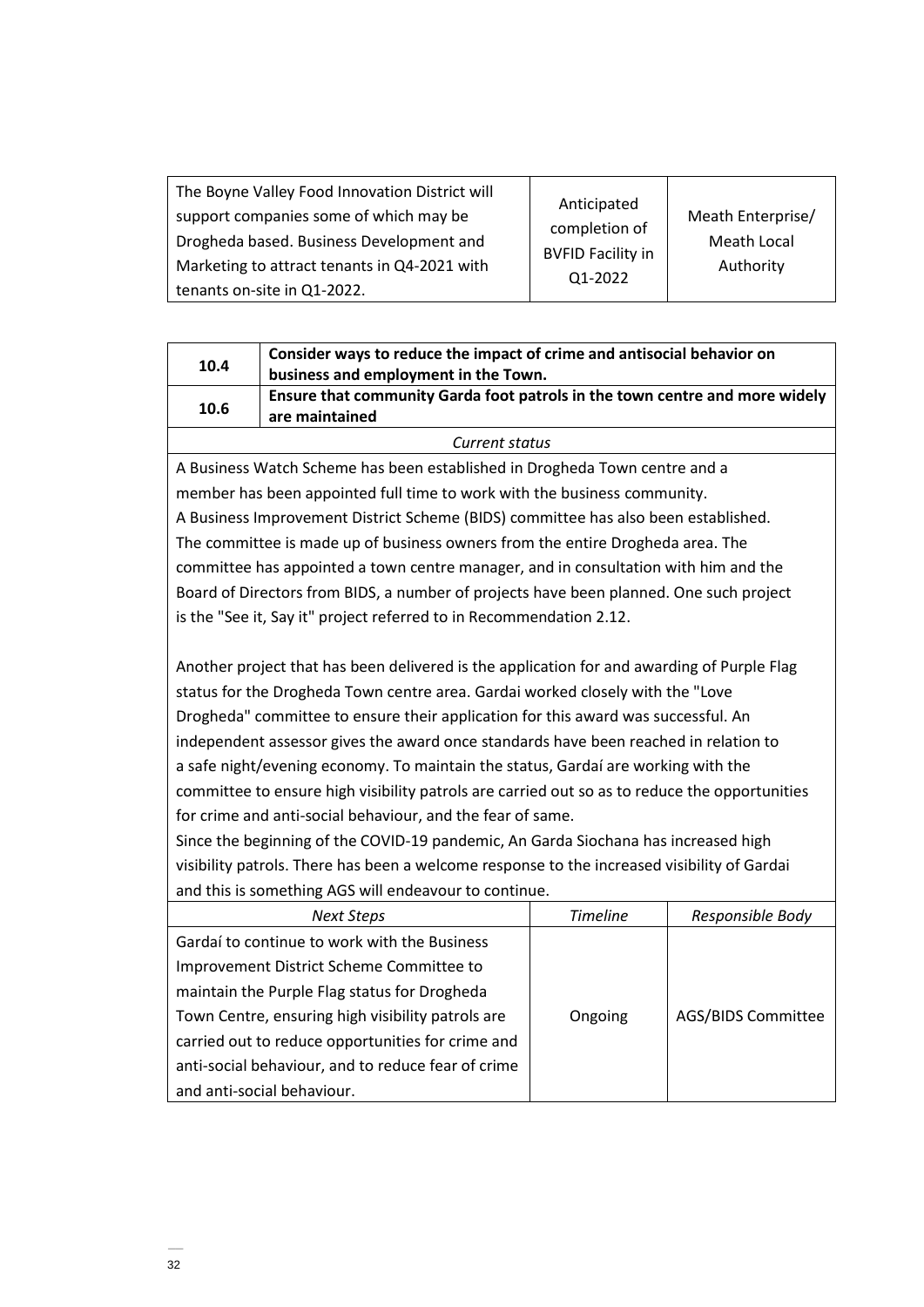| The Boyne Valley Food Innovation District will<br>support companies some of which may be<br>Drogheda based. Business Development and<br>Marketing to attract tenants in Q4-2021 with | Anticipated<br>completion of<br><b>BVFID Facility in</b> | Meath Enterprise/<br>Meath Local<br>Authority |
|--------------------------------------------------------------------------------------------------------------------------------------------------------------------------------------|----------------------------------------------------------|-----------------------------------------------|
| tenants on-site in Q1-2022.                                                                                                                                                          | Q1-2022                                                  |                                               |

| 10.4                                                                                   | Consider ways to reduce the impact of crime and antisocial behavior on<br>business and employment in the Town. |  |
|----------------------------------------------------------------------------------------|----------------------------------------------------------------------------------------------------------------|--|
| Ensure that community Garda foot patrols in the town centre and more widely<br>10.6    |                                                                                                                |  |
|                                                                                        | are maintained<br>Current status                                                                               |  |
|                                                                                        |                                                                                                                |  |
| A Business Watch Scheme has been established in Drogheda Town centre and a             |                                                                                                                |  |
| member has been appointed full time to work with the business community.               |                                                                                                                |  |
| A Business Improvement District Scheme (BIDS) committee has also been established.     |                                                                                                                |  |
| The committee is made up of business owners from the entire Drogheda area. The         |                                                                                                                |  |
| committee has appointed a town centre manager, and in consultation with him and the    |                                                                                                                |  |
| Board of Directors from BIDS, a number of projects have been planned. One such project |                                                                                                                |  |
| is the "See it, Say it" project referred to in Recommendation 2.12.                    |                                                                                                                |  |

Another project that has been delivered is the application for and awarding of Purple Flag status for the Drogheda Town centre area. Gardai worked closely with the "Love Drogheda" committee to ensure their application for this award was successful. An independent assessor gives the award once standards have been reached in relation to a safe night/evening economy. To maintain the status, Gardaí are working with the committee to ensure high visibility patrols are carried out so as to reduce the opportunities for crime and anti-social behaviour, and the fear of same.

Since the beginning of the COVID-19 pandemic, An Garda Siochana has increased high visibility patrols. There has been a welcome response to the increased visibility of Gardai and this is something AGS will endeavour to continue.

| <b>Next Steps</b>                                  | <b>Timeline</b> | Responsible Body          |
|----------------------------------------------------|-----------------|---------------------------|
| Gardaí to continue to work with the Business       |                 |                           |
| Improvement District Scheme Committee to           |                 |                           |
| maintain the Purple Flag status for Drogheda       |                 |                           |
| Town Centre, ensuring high visibility patrols are  | Ongoing         | <b>AGS/BIDS Committee</b> |
| carried out to reduce opportunities for crime and  |                 |                           |
| anti-social behaviour, and to reduce fear of crime |                 |                           |
| and anti-social behaviour.                         |                 |                           |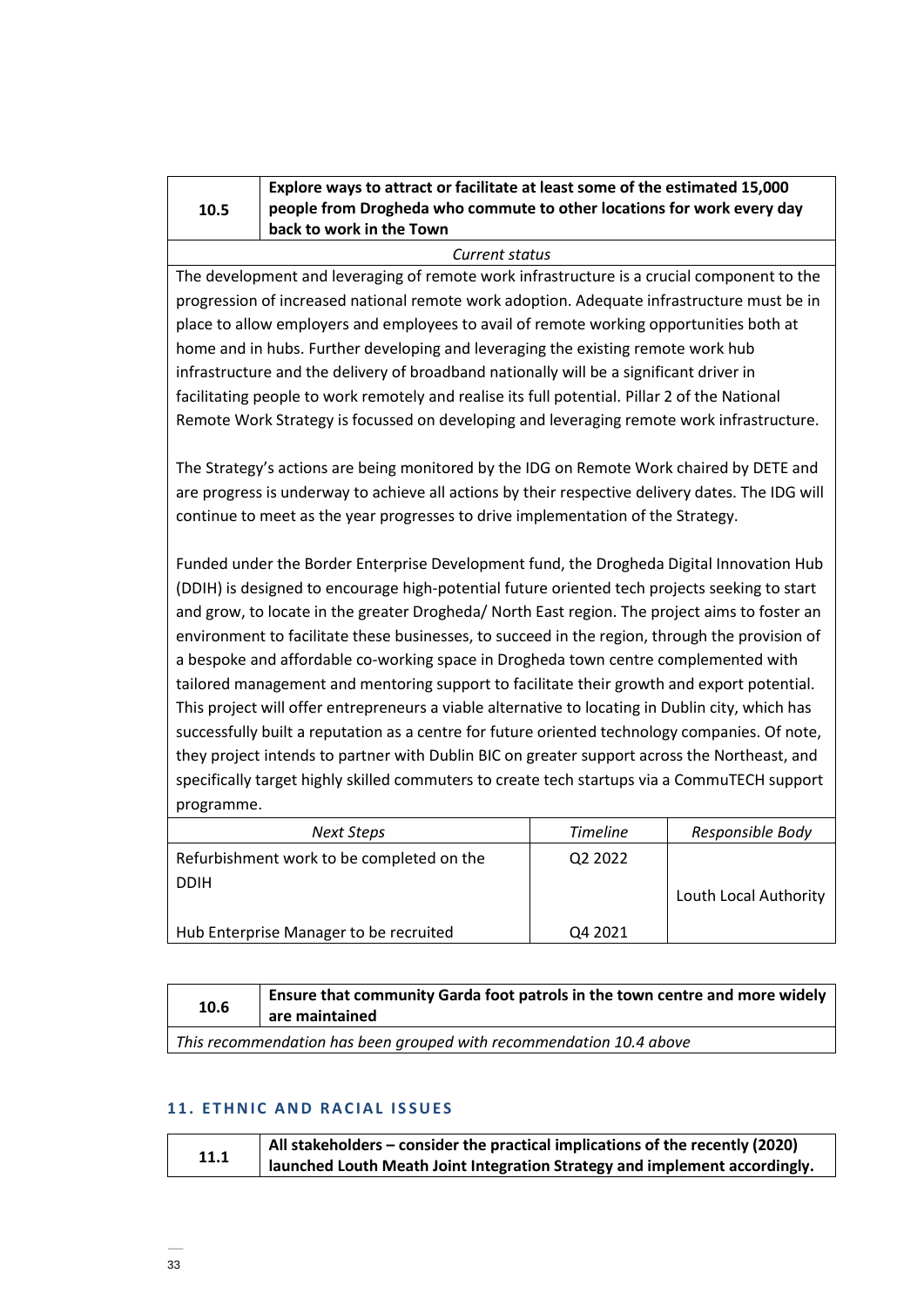| 1 | 0.5 |  |
|---|-----|--|

# **Explore ways to attract or facilitate at least some of the estimated 15,000 people from Drogheda who commute to other locations for work every day back to work in the Town**

*Current status*

The development and leveraging of remote work infrastructure is a crucial component to the progression of increased national remote work adoption. Adequate infrastructure must be in place to allow employers and employees to avail of remote working opportunities both at home and in hubs. Further developing and leveraging the existing remote work hub infrastructure and the delivery of broadband nationally will be a significant driver in facilitating people to work remotely and realise its full potential. Pillar 2 of the National Remote Work Strategy is focussed on developing and leveraging remote work infrastructure.

The Strategy's actions are being monitored by the IDG on Remote Work chaired by DETE and are progress is underway to achieve all actions by their respective delivery dates. The IDG will continue to meet as the year progresses to drive implementation of the Strategy.

Funded under the Border Enterprise Development fund, the Drogheda Digital Innovation Hub (DDIH) is designed to encourage high-potential future oriented tech projects seeking to start and grow, to locate in the greater Drogheda/ North East region. The project aims to foster an environment to facilitate these businesses, to succeed in the region, through the provision of a bespoke and affordable co-working space in Drogheda town centre complemented with tailored management and mentoring support to facilitate their growth and export potential. This project will offer entrepreneurs a viable alternative to locating in Dublin city, which has successfully built a reputation as a centre for future oriented technology companies. Of note, they project intends to partner with Dublin BIC on greater support across the Northeast, and specifically target highly skilled commuters to create tech startups via a CommuTECH support programme.

| Next Steps                                | <b>Timeline</b> | Responsible Body      |
|-------------------------------------------|-----------------|-----------------------|
| Refurbishment work to be completed on the | Q2 2022         |                       |
| <b>DDIH</b>                               |                 | Louth Local Authority |
| Hub Enterprise Manager to be recruited    | Q4 2021         |                       |

| 10.6 | Ensure that community Garda foot patrols in the town centre and more widely $\vert$<br>are maintained |  |
|------|-------------------------------------------------------------------------------------------------------|--|
|      |                                                                                                       |  |

# *This recommendation has been grouped with recommendation 10.4 above*

# **11. ETHNIC AND RACIAL ISSUES**

|      | $\vert$ All stakeholders – consider the practical implications of the recently (2020) |
|------|---------------------------------------------------------------------------------------|
| 11.1 | launched Louth Meath Joint Integration Strategy and implement accordingly.            |